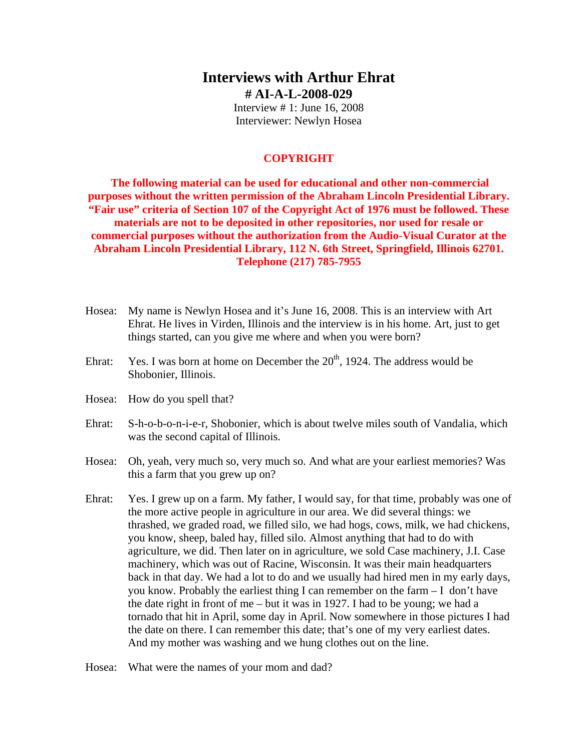# **Interviews with Arthur Ehrat # AI-A-L-2008-029**

Interview # 1: June 16, 2008 Interviewer: Newlyn Hosea

### **COPYRIGHT**

**The following material can be used for educational and other non-commercial purposes without the written permission of the Abraham Lincoln Presidential Library. "Fair use" criteria of Section 107 of the Copyright Act of 1976 must be followed. These materials are not to be deposited in other repositories, nor used for resale or commercial purposes without the authorization from the Audio-Visual Curator at the Abraham Lincoln Presidential Library, 112 N. 6th Street, Springfield, Illinois 62701. Telephone (217) 785-7955**

- Hosea: My name is Newlyn Hosea and it's June 16, 2008. This is an interview with Art Ehrat. He lives in Virden, Illinois and the interview is in his home. Art, just to get things started, can you give me where and when you were born?
- Ehrat: Yes. I was born at home on December the  $20<sup>th</sup>$ , 1924. The address would be Shobonier, Illinois.
- Hosea: How do you spell that?
- Ehrat: S-h-o-b-o-n-i-e-r, Shobonier, which is about twelve miles south of Vandalia, which was the second capital of Illinois.
- Hosea: Oh, yeah, very much so, very much so. And what are your earliest memories? Was this a farm that you grew up on?
- Ehrat: Yes. I grew up on a farm. My father, I would say, for that time, probably was one of the more active people in agriculture in our area. We did several things: we thrashed, we graded road, we filled silo, we had hogs, cows, milk, we had chickens, you know, sheep, baled hay, filled silo. Almost anything that had to do with agriculture, we did. Then later on in agriculture, we sold Case machinery, J.I. Case machinery, which was out of Racine, Wisconsin. It was their main headquarters back in that day. We had a lot to do and we usually had hired men in my early days, you know. Probably the earliest thing I can remember on the farm – I don't have the date right in front of me – but it was in 1927. I had to be young; we had a tornado that hit in April, some day in April. Now somewhere in those pictures I had the date on there. I can remember this date; that's one of my very earliest dates. And my mother was washing and we hung clothes out on the line.
- Hosea: What were the names of your mom and dad?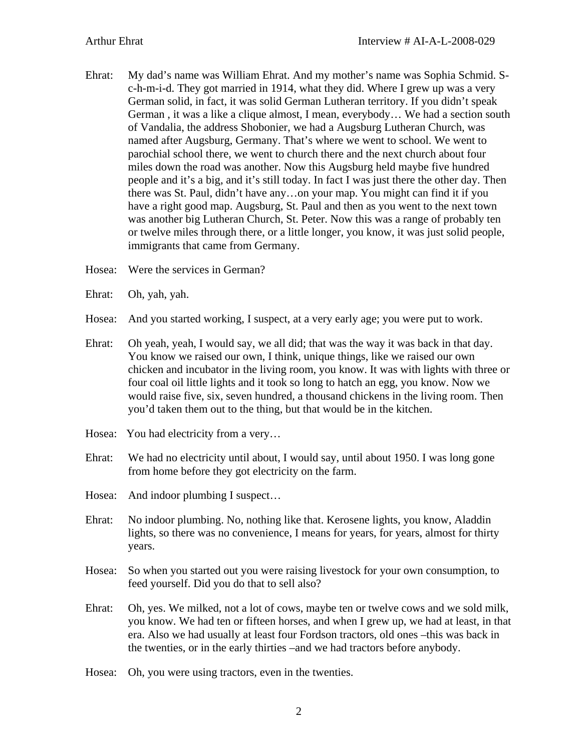- Ehrat: My dad's name was William Ehrat. And my mother's name was Sophia Schmid. Sc-h-m-i-d. They got married in 1914, what they did. Where I grew up was a very German solid, in fact, it was solid German Lutheran territory. If you didn't speak German , it was a like a clique almost, I mean, everybody… We had a section south of Vandalia, the address Shobonier, we had a Augsburg Lutheran Church, was named after Augsburg, Germany. That's where we went to school. We went to parochial school there, we went to church there and the next church about four miles down the road was another. Now this Augsburg held maybe five hundred people and it's a big, and it's still today. In fact I was just there the other day. Then there was St. Paul, didn't have any…on your map. You might can find it if you have a right good map. Augsburg, St. Paul and then as you went to the next town was another big Lutheran Church, St. Peter. Now this was a range of probably ten or twelve miles through there, or a little longer, you know, it was just solid people, immigrants that came from Germany.
- Hosea: Were the services in German?
- Ehrat: Oh, yah, yah.
- Hosea: And you started working, I suspect, at a very early age; you were put to work.
- Ehrat: Oh yeah, yeah, I would say, we all did; that was the way it was back in that day. You know we raised our own, I think, unique things, like we raised our own chicken and incubator in the living room, you know. It was with lights with three or four coal oil little lights and it took so long to hatch an egg, you know. Now we would raise five, six, seven hundred, a thousand chickens in the living room. Then you'd taken them out to the thing, but that would be in the kitchen.
- Hosea: You had electricity from a very...
- Ehrat: We had no electricity until about, I would say, until about 1950. I was long gone from home before they got electricity on the farm.
- Hosea: And indoor plumbing I suspect…
- Ehrat: No indoor plumbing. No, nothing like that. Kerosene lights, you know, Aladdin lights, so there was no convenience, I means for years, for years, almost for thirty years.
- Hosea: So when you started out you were raising livestock for your own consumption, to feed yourself. Did you do that to sell also?
- Ehrat: Oh, yes. We milked, not a lot of cows, maybe ten or twelve cows and we sold milk, you know. We had ten or fifteen horses, and when I grew up, we had at least, in that era. Also we had usually at least four Fordson tractors, old ones –this was back in the twenties, or in the early thirties –and we had tractors before anybody.
- Hosea: Oh, you were using tractors, even in the twenties.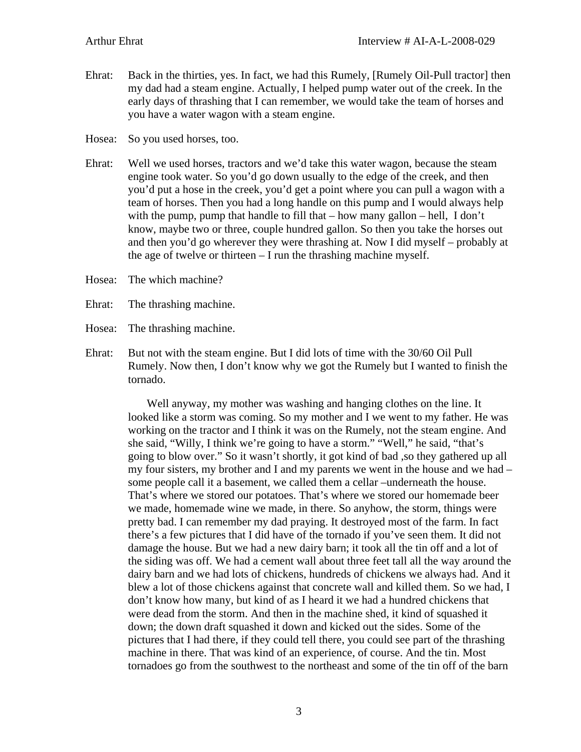Ehrat: Back in the thirties, yes. In fact, we had this Rumely, [Rumely Oil-Pull tractor] then my dad had a steam engine. Actually, I helped pump water out of the creek. In the early days of thrashing that I can remember, we would take the team of horses and you have a water wagon with a steam engine.

Hosea: So you used horses, too.

- Ehrat: Well we used horses, tractors and we'd take this water wagon, because the steam engine took water. So you'd go down usually to the edge of the creek, and then you'd put a hose in the creek, you'd get a point where you can pull a wagon with a team of horses. Then you had a long handle on this pump and I would always help with the pump, pump that handle to fill that – how many gallon – hell, I don't know, maybe two or three, couple hundred gallon. So then you take the horses out and then you'd go wherever they were thrashing at. Now I did myself – probably at the age of twelve or thirteen – I run the thrashing machine myself.
- Hosea: The which machine?
- Ehrat: The thrashing machine.
- Hosea: The thrashing machine.
- Ehrat: But not with the steam engine. But I did lots of time with the 30/60 Oil Pull Rumely. Now then, I don't know why we got the Rumely but I wanted to finish the tornado.

Well anyway, my mother was washing and hanging clothes on the line. It looked like a storm was coming. So my mother and I we went to my father. He was working on the tractor and I think it was on the Rumely, not the steam engine. And she said, "Willy, I think we're going to have a storm." "Well," he said, "that's going to blow over." So it wasn't shortly, it got kind of bad ,so they gathered up all my four sisters, my brother and I and my parents we went in the house and we had – some people call it a basement, we called them a cellar –underneath the house. That's where we stored our potatoes. That's where we stored our homemade beer we made, homemade wine we made, in there. So anyhow, the storm, things were pretty bad. I can remember my dad praying. It destroyed most of the farm. In fact there's a few pictures that I did have of the tornado if you've seen them. It did not damage the house. But we had a new dairy barn; it took all the tin off and a lot of the siding was off. We had a cement wall about three feet tall all the way around the dairy barn and we had lots of chickens, hundreds of chickens we always had. And it blew a lot of those chickens against that concrete wall and killed them. So we had, I don't know how many, but kind of as I heard it we had a hundred chickens that were dead from the storm. And then in the machine shed, it kind of squashed it down; the down draft squashed it down and kicked out the sides. Some of the pictures that I had there, if they could tell there, you could see part of the thrashing machine in there. That was kind of an experience, of course. And the tin. Most tornadoes go from the southwest to the northeast and some of the tin off of the barn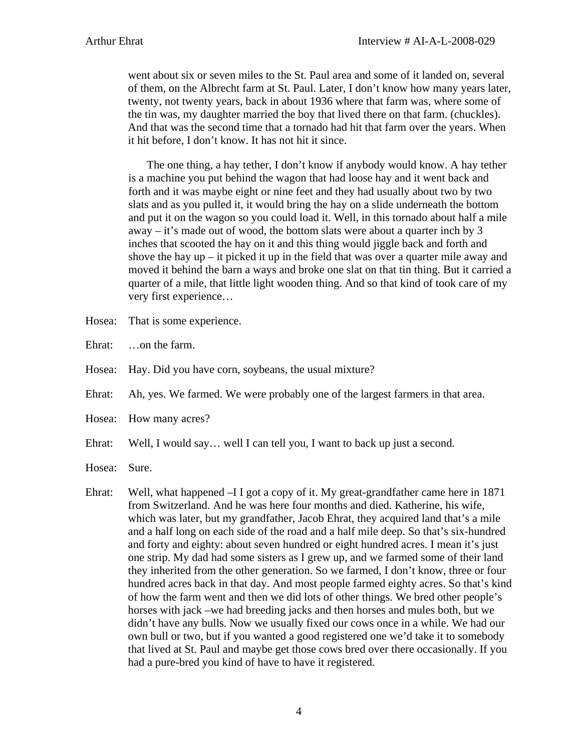went about six or seven miles to the St. Paul area and some of it landed on, several of them, on the Albrecht farm at St. Paul. Later, I don't know how many years later, twenty, not twenty years, back in about 1936 where that farm was, where some of the tin was, my daughter married the boy that lived there on that farm. (chuckles). And that was the second time that a tornado had hit that farm over the years. When it hit before, I don't know. It has not hit it since.

 The one thing, a hay tether, I don't know if anybody would know. A hay tether is a machine you put behind the wagon that had loose hay and it went back and forth and it was maybe eight or nine feet and they had usually about two by two slats and as you pulled it, it would bring the hay on a slide underneath the bottom and put it on the wagon so you could load it. Well, in this tornado about half a mile away – it's made out of wood, the bottom slats were about a quarter inch by 3 inches that scooted the hay on it and this thing would jiggle back and forth and shove the hay up – it picked it up in the field that was over a quarter mile away and moved it behind the barn a ways and broke one slat on that tin thing. But it carried a quarter of a mile, that little light wooden thing. And so that kind of took care of my very first experience…

- Hosea: That is some experience.
- Ehrat: …on the farm.
- Hosea: Hay. Did you have corn, soybeans, the usual mixture?
- Ehrat: Ah, yes. We farmed. We were probably one of the largest farmers in that area.
- Hosea: How many acres?
- Ehrat: Well, I would say… well I can tell you, I want to back up just a second.
- Hosea: Sure.
- Ehrat: Well, what happened –I I got a copy of it. My great-grandfather came here in 1871 from Switzerland. And he was here four months and died. Katherine, his wife, which was later, but my grandfather, Jacob Ehrat, they acquired land that's a mile and a half long on each side of the road and a half mile deep. So that's six-hundred and forty and eighty: about seven hundred or eight hundred acres. I mean it's just one strip. My dad had some sisters as I grew up, and we farmed some of their land they inherited from the other generation. So we farmed, I don't know, three or four hundred acres back in that day. And most people farmed eighty acres. So that's kind of how the farm went and then we did lots of other things. We bred other people's horses with jack –we had breeding jacks and then horses and mules both, but we didn't have any bulls. Now we usually fixed our cows once in a while. We had our own bull or two, but if you wanted a good registered one we'd take it to somebody that lived at St. Paul and maybe get those cows bred over there occasionally. If you had a pure-bred you kind of have to have it registered.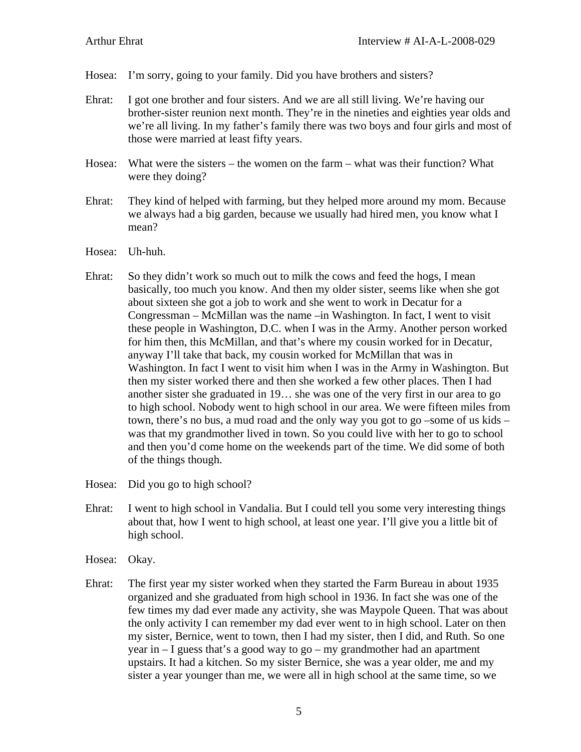- Hosea: I'm sorry, going to your family. Did you have brothers and sisters?
- Ehrat: I got one brother and four sisters. And we are all still living. We're having our brother-sister reunion next month. They're in the nineties and eighties year olds and we're all living. In my father's family there was two boys and four girls and most of those were married at least fifty years.
- Hosea: What were the sisters the women on the farm what was their function? What were they doing?
- Ehrat: They kind of helped with farming, but they helped more around my mom. Because we always had a big garden, because we usually had hired men, you know what I mean?
- Hosea: Uh-huh.
- Ehrat: So they didn't work so much out to milk the cows and feed the hogs, I mean basically, too much you know. And then my older sister, seems like when she got about sixteen she got a job to work and she went to work in Decatur for a Congressman – McMillan was the name –in Washington. In fact, I went to visit these people in Washington, D.C. when I was in the Army. Another person worked for him then, this McMillan, and that's where my cousin worked for in Decatur, anyway I'll take that back, my cousin worked for McMillan that was in Washington. In fact I went to visit him when I was in the Army in Washington. But then my sister worked there and then she worked a few other places. Then I had another sister she graduated in 19… she was one of the very first in our area to go to high school. Nobody went to high school in our area. We were fifteen miles from town, there's no bus, a mud road and the only way you got to go –some of us kids – was that my grandmother lived in town. So you could live with her to go to school and then you'd come home on the weekends part of the time. We did some of both of the things though.

Hosea: Did you go to high school?

- Ehrat: I went to high school in Vandalia. But I could tell you some very interesting things about that, how I went to high school, at least one year. I'll give you a little bit of high school.
- Hosea: Okay.
- Ehrat: The first year my sister worked when they started the Farm Bureau in about 1935 organized and she graduated from high school in 1936. In fact she was one of the few times my dad ever made any activity, she was Maypole Queen. That was about the only activity I can remember my dad ever went to in high school. Later on then my sister, Bernice, went to town, then I had my sister, then I did, and Ruth. So one year in – I guess that's a good way to go – my grandmother had an apartment upstairs. It had a kitchen. So my sister Bernice, she was a year older, me and my sister a year younger than me, we were all in high school at the same time, so we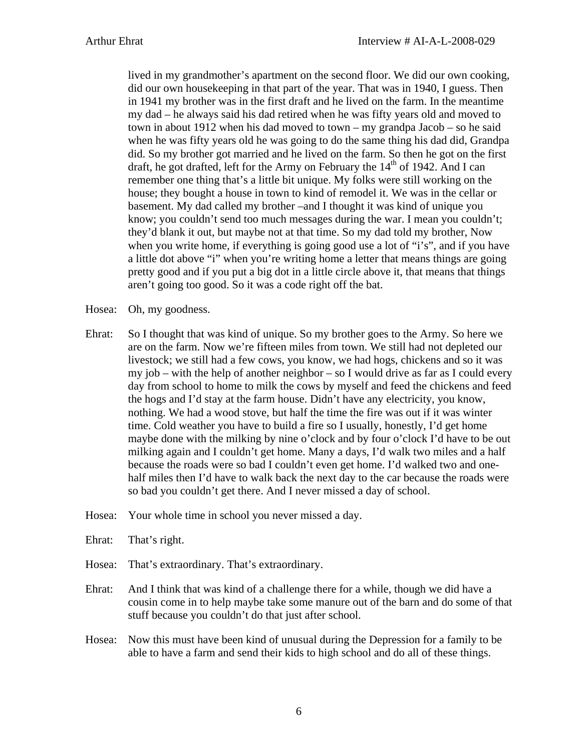lived in my grandmother's apartment on the second floor. We did our own cooking, did our own housekeeping in that part of the year. That was in 1940, I guess. Then in 1941 my brother was in the first draft and he lived on the farm. In the meantime my dad – he always said his dad retired when he was fifty years old and moved to town in about 1912 when his dad moved to town – my grandpa Jacob – so he said when he was fifty years old he was going to do the same thing his dad did, Grandpa did. So my brother got married and he lived on the farm. So then he got on the first draft, he got drafted, left for the Army on February the  $14<sup>th</sup>$  of 1942. And I can remember one thing that's a little bit unique. My folks were still working on the house; they bought a house in town to kind of remodel it. We was in the cellar or basement. My dad called my brother –and I thought it was kind of unique you know; you couldn't send too much messages during the war. I mean you couldn't; they'd blank it out, but maybe not at that time. So my dad told my brother, Now when you write home, if everything is going good use a lot of "i's", and if you have a little dot above "i" when you're writing home a letter that means things are going pretty good and if you put a big dot in a little circle above it, that means that things aren't going too good. So it was a code right off the bat.

- Hosea: Oh, my goodness.
- Ehrat: So I thought that was kind of unique. So my brother goes to the Army. So here we are on the farm. Now we're fifteen miles from town. We still had not depleted our livestock; we still had a few cows, you know, we had hogs, chickens and so it was my job – with the help of another neighbor – so I would drive as far as I could every day from school to home to milk the cows by myself and feed the chickens and feed the hogs and I'd stay at the farm house. Didn't have any electricity, you know, nothing. We had a wood stove, but half the time the fire was out if it was winter time. Cold weather you have to build a fire so I usually, honestly, I'd get home maybe done with the milking by nine o'clock and by four o'clock I'd have to be out milking again and I couldn't get home. Many a days, I'd walk two miles and a half because the roads were so bad I couldn't even get home. I'd walked two and onehalf miles then I'd have to walk back the next day to the car because the roads were so bad you couldn't get there. And I never missed a day of school.
- Hosea: Your whole time in school you never missed a day.
- Ehrat: That's right.
- Hosea: That's extraordinary. That's extraordinary.
- Ehrat: And I think that was kind of a challenge there for a while, though we did have a cousin come in to help maybe take some manure out of the barn and do some of that stuff because you couldn't do that just after school.
- Hosea: Now this must have been kind of unusual during the Depression for a family to be able to have a farm and send their kids to high school and do all of these things.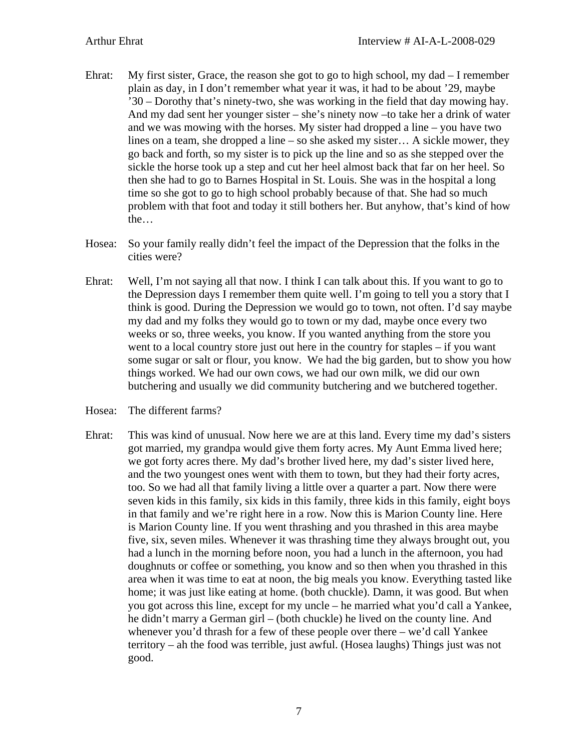- Ehrat: My first sister, Grace, the reason she got to go to high school, my dad I remember plain as day, in I don't remember what year it was, it had to be about '29, maybe '30 – Dorothy that's ninety-two, she was working in the field that day mowing hay. And my dad sent her younger sister – she's ninety now –to take her a drink of water and we was mowing with the horses. My sister had dropped a line – you have two lines on a team, she dropped a line – so she asked my sister… A sickle mower, they go back and forth, so my sister is to pick up the line and so as she stepped over the sickle the horse took up a step and cut her heel almost back that far on her heel. So then she had to go to Barnes Hospital in St. Louis. She was in the hospital a long time so she got to go to high school probably because of that. She had so much problem with that foot and today it still bothers her. But anyhow, that's kind of how the…
- Hosea: So your family really didn't feel the impact of the Depression that the folks in the cities were?
- Ehrat: Well, I'm not saying all that now. I think I can talk about this. If you want to go to the Depression days I remember them quite well. I'm going to tell you a story that I think is good. During the Depression we would go to town, not often. I'd say maybe my dad and my folks they would go to town or my dad, maybe once every two weeks or so, three weeks, you know. If you wanted anything from the store you went to a local country store just out here in the country for staples – if you want some sugar or salt or flour, you know. We had the big garden, but to show you how things worked. We had our own cows, we had our own milk, we did our own butchering and usually we did community butchering and we butchered together.
- Hosea: The different farms?
- Ehrat: This was kind of unusual. Now here we are at this land. Every time my dad's sisters got married, my grandpa would give them forty acres. My Aunt Emma lived here; we got forty acres there. My dad's brother lived here, my dad's sister lived here, and the two youngest ones went with them to town, but they had their forty acres, too. So we had all that family living a little over a quarter a part. Now there were seven kids in this family, six kids in this family, three kids in this family, eight boys in that family and we're right here in a row. Now this is Marion County line. Here is Marion County line. If you went thrashing and you thrashed in this area maybe five, six, seven miles. Whenever it was thrashing time they always brought out, you had a lunch in the morning before noon, you had a lunch in the afternoon, you had doughnuts or coffee or something, you know and so then when you thrashed in this area when it was time to eat at noon, the big meals you know. Everything tasted like home; it was just like eating at home. (both chuckle). Damn, it was good. But when you got across this line, except for my uncle – he married what you'd call a Yankee, he didn't marry a German girl – (both chuckle) he lived on the county line. And whenever you'd thrash for a few of these people over there – we'd call Yankee territory – ah the food was terrible, just awful. (Hosea laughs) Things just was not good.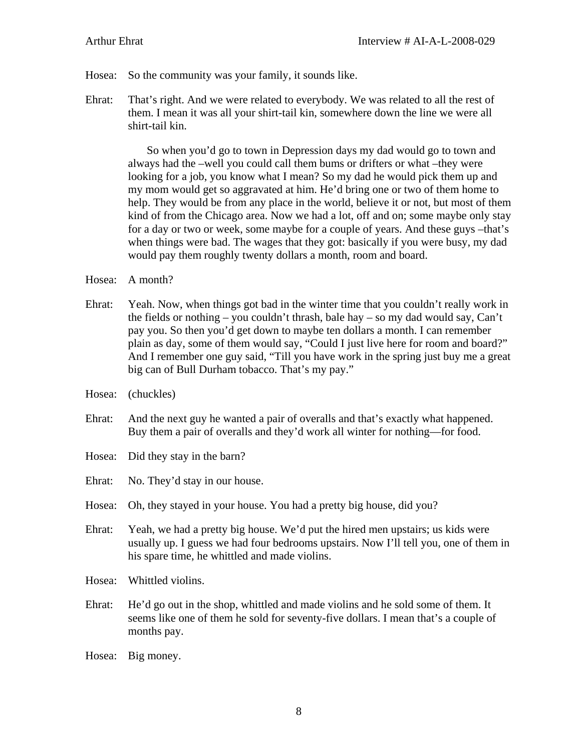- Hosea: So the community was your family, it sounds like.
- Ehrat: That's right. And we were related to everybody. We was related to all the rest of them. I mean it was all your shirt-tail kin, somewhere down the line we were all shirt-tail kin.

 So when you'd go to town in Depression days my dad would go to town and always had the –well you could call them bums or drifters or what –they were looking for a job, you know what I mean? So my dad he would pick them up and my mom would get so aggravated at him. He'd bring one or two of them home to help. They would be from any place in the world, believe it or not, but most of them kind of from the Chicago area. Now we had a lot, off and on; some maybe only stay for a day or two or week, some maybe for a couple of years. And these guys –that's when things were bad. The wages that they got: basically if you were busy, my dad would pay them roughly twenty dollars a month, room and board.

Hosea: A month?

- Ehrat: Yeah. Now, when things got bad in the winter time that you couldn't really work in the fields or nothing – you couldn't thrash, bale hay – so my dad would say, Can't pay you. So then you'd get down to maybe ten dollars a month. I can remember plain as day, some of them would say, "Could I just live here for room and board?" And I remember one guy said, "Till you have work in the spring just buy me a great big can of Bull Durham tobacco. That's my pay."
- Hosea: (chuckles)
- Ehrat: And the next guy he wanted a pair of overalls and that's exactly what happened. Buy them a pair of overalls and they'd work all winter for nothing—for food.
- Hosea: Did they stay in the barn?
- Ehrat: No. They'd stay in our house.
- Hosea: Oh, they stayed in your house. You had a pretty big house, did you?
- Ehrat: Yeah, we had a pretty big house. We'd put the hired men upstairs; us kids were usually up. I guess we had four bedrooms upstairs. Now I'll tell you, one of them in his spare time, he whittled and made violins.
- Hosea: Whittled violins.
- Ehrat: He'd go out in the shop, whittled and made violins and he sold some of them. It seems like one of them he sold for seventy-five dollars. I mean that's a couple of months pay.

Hosea: Big money.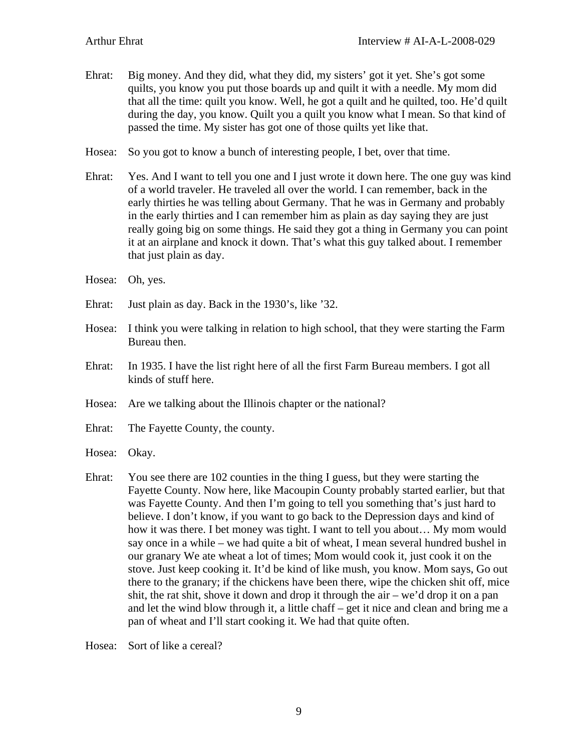Ehrat: Big money. And they did, what they did, my sisters' got it yet. She's got some quilts, you know you put those boards up and quilt it with a needle. My mom did that all the time: quilt you know. Well, he got a quilt and he quilted, too. He'd quilt during the day, you know. Quilt you a quilt you know what I mean. So that kind of passed the time. My sister has got one of those quilts yet like that.

Hosea: So you got to know a bunch of interesting people, I bet, over that time.

- Ehrat: Yes. And I want to tell you one and I just wrote it down here. The one guy was kind of a world traveler. He traveled all over the world. I can remember, back in the early thirties he was telling about Germany. That he was in Germany and probably in the early thirties and I can remember him as plain as day saying they are just really going big on some things. He said they got a thing in Germany you can point it at an airplane and knock it down. That's what this guy talked about. I remember that just plain as day.
- Hosea: Oh, yes.
- Ehrat: Just plain as day. Back in the 1930's, like '32.
- Hosea: I think you were talking in relation to high school, that they were starting the Farm Bureau then.
- Ehrat: In 1935. I have the list right here of all the first Farm Bureau members. I got all kinds of stuff here.
- Hosea: Are we talking about the Illinois chapter or the national?
- Ehrat: The Fayette County, the county.
- Hosea: Okay.
- Ehrat: You see there are 102 counties in the thing I guess, but they were starting the Fayette County. Now here, like Macoupin County probably started earlier, but that was Fayette County. And then I'm going to tell you something that's just hard to believe. I don't know, if you want to go back to the Depression days and kind of how it was there. I bet money was tight. I want to tell you about… My mom would say once in a while – we had quite a bit of wheat, I mean several hundred bushel in our granary We ate wheat a lot of times; Mom would cook it, just cook it on the stove. Just keep cooking it. It'd be kind of like mush, you know. Mom says, Go out there to the granary; if the chickens have been there, wipe the chicken shit off, mice shit, the rat shit, shove it down and drop it through the air – we'd drop it on a pan and let the wind blow through it, a little chaff – get it nice and clean and bring me a pan of wheat and I'll start cooking it. We had that quite often.

Hosea: Sort of like a cereal?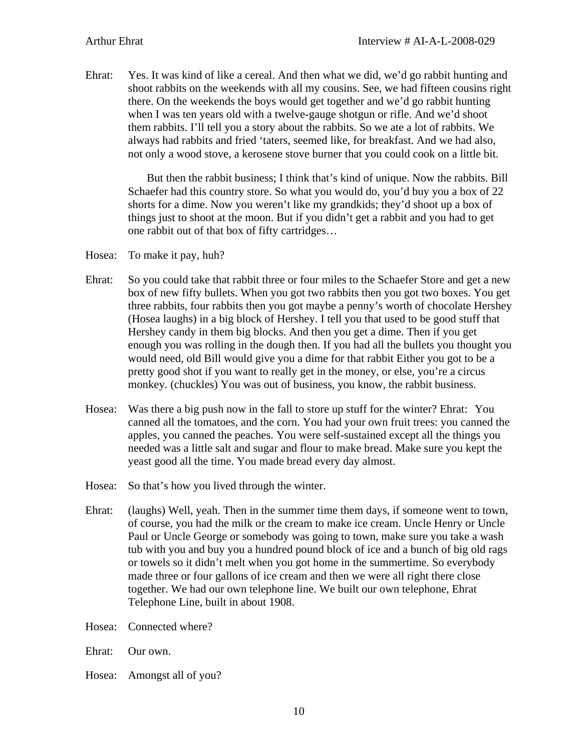Ehrat: Yes. It was kind of like a cereal. And then what we did, we'd go rabbit hunting and shoot rabbits on the weekends with all my cousins. See, we had fifteen cousins right there. On the weekends the boys would get together and we'd go rabbit hunting when I was ten years old with a twelve-gauge shotgun or rifle. And we'd shoot them rabbits. I'll tell you a story about the rabbits. So we ate a lot of rabbits. We always had rabbits and fried 'taters, seemed like, for breakfast. And we had also, not only a wood stove, a kerosene stove burner that you could cook on a little bit.

But then the rabbit business; I think that's kind of unique. Now the rabbits. Bill Schaefer had this country store. So what you would do, you'd buy you a box of 22 shorts for a dime. Now you weren't like my grandkids; they'd shoot up a box of things just to shoot at the moon. But if you didn't get a rabbit and you had to get one rabbit out of that box of fifty cartridges…

- Hosea: To make it pay, huh?
- Ehrat: So you could take that rabbit three or four miles to the Schaefer Store and get a new box of new fifty bullets. When you got two rabbits then you got two boxes. You get three rabbits, four rabbits then you got maybe a penny's worth of chocolate Hershey (Hosea laughs) in a big block of Hershey. I tell you that used to be good stuff that Hershey candy in them big blocks. And then you get a dime. Then if you get enough you was rolling in the dough then. If you had all the bullets you thought you would need, old Bill would give you a dime for that rabbit Either you got to be a pretty good shot if you want to really get in the money, or else, you're a circus monkey. (chuckles) You was out of business, you know, the rabbit business.
- Hosea: Was there a big push now in the fall to store up stuff for the winter? Ehrat: You canned all the tomatoes, and the corn. You had your own fruit trees: you canned the apples, you canned the peaches. You were self-sustained except all the things you needed was a little salt and sugar and flour to make bread. Make sure you kept the yeast good all the time. You made bread every day almost.
- Hosea: So that's how you lived through the winter.
- Ehrat: (laughs) Well, yeah. Then in the summer time them days, if someone went to town, of course, you had the milk or the cream to make ice cream. Uncle Henry or Uncle Paul or Uncle George or somebody was going to town, make sure you take a wash tub with you and buy you a hundred pound block of ice and a bunch of big old rags or towels so it didn't melt when you got home in the summertime. So everybody made three or four gallons of ice cream and then we were all right there close together. We had our own telephone line. We built our own telephone, Ehrat Telephone Line, built in about 1908.
- Hosea: Connected where?

Ehrat: Our own.

Hosea: Amongst all of you?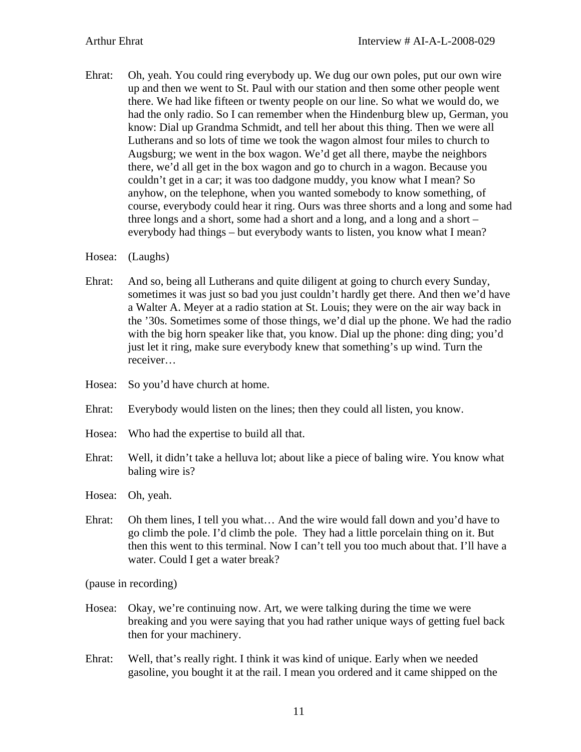Ehrat: Oh, yeah. You could ring everybody up. We dug our own poles, put our own wire up and then we went to St. Paul with our station and then some other people went there. We had like fifteen or twenty people on our line. So what we would do, we had the only radio. So I can remember when the Hindenburg blew up, German, you know: Dial up Grandma Schmidt, and tell her about this thing. Then we were all Lutherans and so lots of time we took the wagon almost four miles to church to Augsburg; we went in the box wagon. We'd get all there, maybe the neighbors there, we'd all get in the box wagon and go to church in a wagon. Because you couldn't get in a car; it was too dadgone muddy, you know what I mean? So anyhow, on the telephone, when you wanted somebody to know something, of course, everybody could hear it ring. Ours was three shorts and a long and some had three longs and a short, some had a short and a long, and a long and a short – everybody had things – but everybody wants to listen, you know what I mean?

Hosea: (Laughs)

- Ehrat: And so, being all Lutherans and quite diligent at going to church every Sunday, sometimes it was just so bad you just couldn't hardly get there. And then we'd have a Walter A. Meyer at a radio station at St. Louis; they were on the air way back in the '30s. Sometimes some of those things, we'd dial up the phone. We had the radio with the big horn speaker like that, you know. Dial up the phone: ding ding; you'd just let it ring, make sure everybody knew that something's up wind. Turn the receiver…
- Hosea: So you'd have church at home.
- Ehrat: Everybody would listen on the lines; then they could all listen, you know.
- Hosea: Who had the expertise to build all that.
- Ehrat: Well, it didn't take a helluva lot; about like a piece of baling wire. You know what baling wire is?
- Hosea: Oh, yeah.
- Ehrat: Oh them lines, I tell you what… And the wire would fall down and you'd have to go climb the pole. I'd climb the pole. They had a little porcelain thing on it. But then this went to this terminal. Now I can't tell you too much about that. I'll have a water. Could I get a water break?

(pause in recording)

- Hosea: Okay, we're continuing now. Art, we were talking during the time we were breaking and you were saying that you had rather unique ways of getting fuel back then for your machinery.
- Ehrat: Well, that's really right. I think it was kind of unique. Early when we needed gasoline, you bought it at the rail. I mean you ordered and it came shipped on the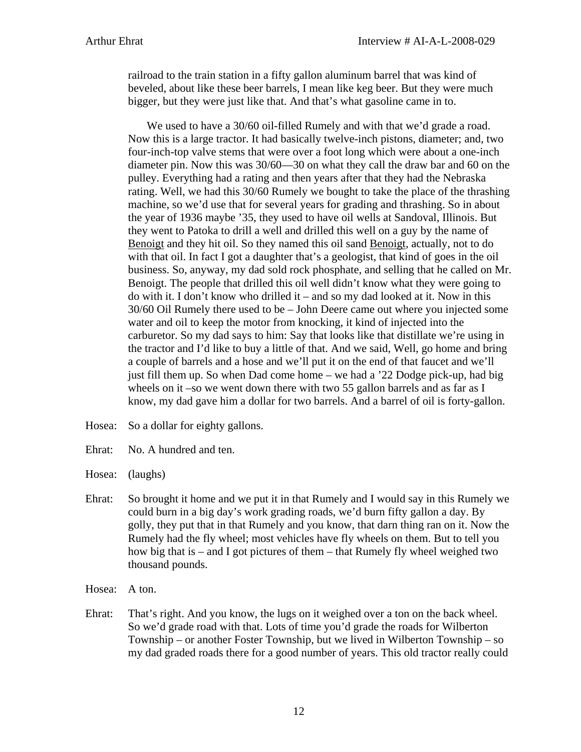railroad to the train station in a fifty gallon aluminum barrel that was kind of beveled, about like these beer barrels, I mean like keg beer. But they were much bigger, but they were just like that. And that's what gasoline came in to.

We used to have a 30/60 oil-filled Rumely and with that we'd grade a road. Now this is a large tractor. It had basically twelve-inch pistons, diameter; and, two four-inch-top valve stems that were over a foot long which were about a one-inch diameter pin. Now this was 30/60—30 on what they call the draw bar and 60 on the pulley. Everything had a rating and then years after that they had the Nebraska rating. Well, we had this 30/60 Rumely we bought to take the place of the thrashing machine, so we'd use that for several years for grading and thrashing. So in about the year of 1936 maybe '35, they used to have oil wells at Sandoval, Illinois. But they went to Patoka to drill a well and drilled this well on a guy by the name of Benoigt and they hit oil. So they named this oil sand Benoigt, actually, not to do with that oil. In fact I got a daughter that's a geologist, that kind of goes in the oil business. So, anyway, my dad sold rock phosphate, and selling that he called on Mr. Benoigt. The people that drilled this oil well didn't know what they were going to do with it. I don't know who drilled it – and so my dad looked at it. Now in this 30/60 Oil Rumely there used to be – John Deere came out where you injected some water and oil to keep the motor from knocking, it kind of injected into the carburetor. So my dad says to him: Say that looks like that distillate we're using in the tractor and I'd like to buy a little of that. And we said, Well, go home and bring a couple of barrels and a hose and we'll put it on the end of that faucet and we'll just fill them up. So when Dad come home – we had a '22 Dodge pick-up, had big wheels on it –so we went down there with two 55 gallon barrels and as far as I know, my dad gave him a dollar for two barrels. And a barrel of oil is forty-gallon.

- Hosea: So a dollar for eighty gallons.
- Ehrat: No. A hundred and ten.
- Hosea: (laughs)
- Ehrat: So brought it home and we put it in that Rumely and I would say in this Rumely we could burn in a big day's work grading roads, we'd burn fifty gallon a day. By golly, they put that in that Rumely and you know, that darn thing ran on it. Now the Rumely had the fly wheel; most vehicles have fly wheels on them. But to tell you how big that is – and I got pictures of them – that Rumely fly wheel weighed two thousand pounds.
- Hosea: A ton.
- Ehrat: That's right. And you know, the lugs on it weighed over a ton on the back wheel. So we'd grade road with that. Lots of time you'd grade the roads for Wilberton Township – or another Foster Township, but we lived in Wilberton Township – so my dad graded roads there for a good number of years. This old tractor really could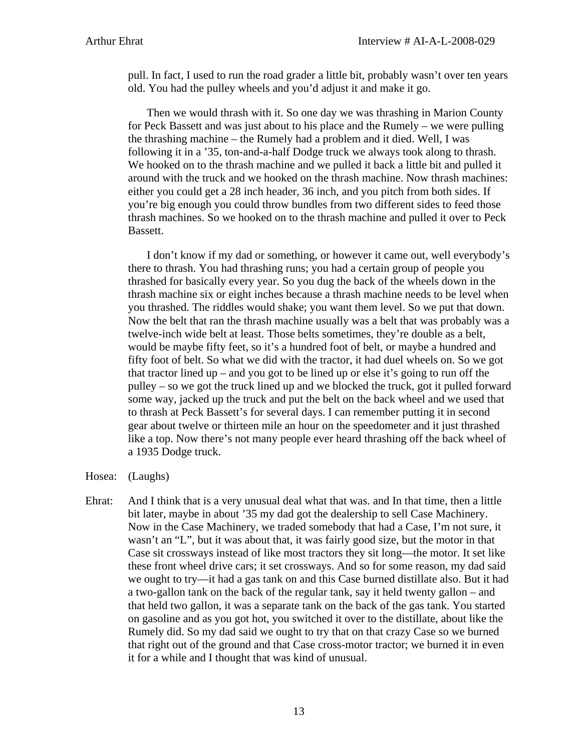pull. In fact, I used to run the road grader a little bit, probably wasn't over ten years old. You had the pulley wheels and you'd adjust it and make it go.

Then we would thrash with it. So one day we was thrashing in Marion County for Peck Bassett and was just about to his place and the Rumely – we were pulling the thrashing machine – the Rumely had a problem and it died. Well, I was following it in a '35, ton-and-a-half Dodge truck we always took along to thrash. We hooked on to the thrash machine and we pulled it back a little bit and pulled it around with the truck and we hooked on the thrash machine. Now thrash machines: either you could get a 28 inch header, 36 inch, and you pitch from both sides. If you're big enough you could throw bundles from two different sides to feed those thrash machines. So we hooked on to the thrash machine and pulled it over to Peck Bassett.

I don't know if my dad or something, or however it came out, well everybody's there to thrash. You had thrashing runs; you had a certain group of people you thrashed for basically every year. So you dug the back of the wheels down in the thrash machine six or eight inches because a thrash machine needs to be level when you thrashed. The riddles would shake; you want them level. So we put that down. Now the belt that ran the thrash machine usually was a belt that was probably was a twelve-inch wide belt at least. Those belts sometimes, they're double as a belt, would be maybe fifty feet, so it's a hundred foot of belt, or maybe a hundred and fifty foot of belt. So what we did with the tractor, it had duel wheels on. So we got that tractor lined up – and you got to be lined up or else it's going to run off the pulley – so we got the truck lined up and we blocked the truck, got it pulled forward some way, jacked up the truck and put the belt on the back wheel and we used that to thrash at Peck Bassett's for several days. I can remember putting it in second gear about twelve or thirteen mile an hour on the speedometer and it just thrashed like a top. Now there's not many people ever heard thrashing off the back wheel of a 1935 Dodge truck.

- Hosea: (Laughs)
- Ehrat: And I think that is a very unusual deal what that was. and In that time, then a little bit later, maybe in about '35 my dad got the dealership to sell Case Machinery. Now in the Case Machinery, we traded somebody that had a Case, I'm not sure, it wasn't an "L", but it was about that, it was fairly good size, but the motor in that Case sit crossways instead of like most tractors they sit long—the motor. It set like these front wheel drive cars; it set crossways. And so for some reason, my dad said we ought to try—it had a gas tank on and this Case burned distillate also. But it had a two-gallon tank on the back of the regular tank, say it held twenty gallon – and that held two gallon, it was a separate tank on the back of the gas tank. You started on gasoline and as you got hot, you switched it over to the distillate, about like the Rumely did. So my dad said we ought to try that on that crazy Case so we burned that right out of the ground and that Case cross-motor tractor; we burned it in even it for a while and I thought that was kind of unusual.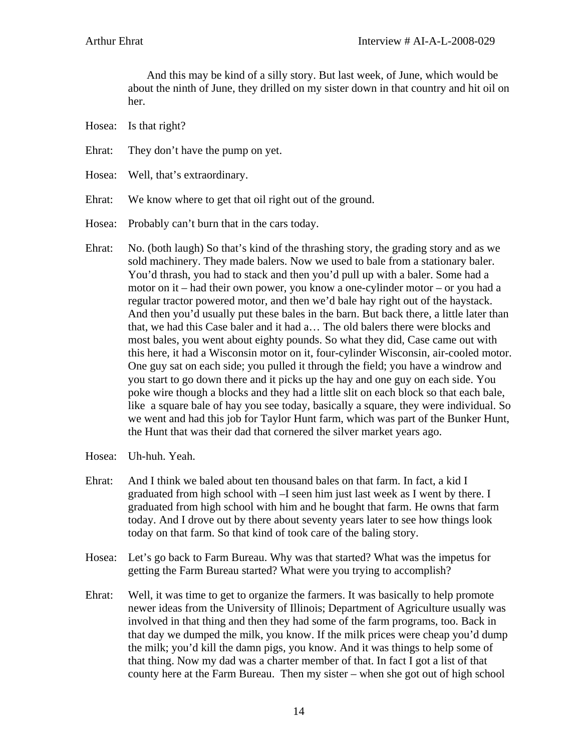And this may be kind of a silly story. But last week, of June, which would be about the ninth of June, they drilled on my sister down in that country and hit oil on her.

- Hosea: Is that right?
- Ehrat: They don't have the pump on yet.
- Hosea: Well, that's extraordinary.
- Ehrat: We know where to get that oil right out of the ground.
- Hosea: Probably can't burn that in the cars today.
- Ehrat: No. (both laugh) So that's kind of the thrashing story, the grading story and as we sold machinery. They made balers. Now we used to bale from a stationary baler. You'd thrash, you had to stack and then you'd pull up with a baler. Some had a motor on it – had their own power, you know a one-cylinder motor – or you had a regular tractor powered motor, and then we'd bale hay right out of the haystack. And then you'd usually put these bales in the barn. But back there, a little later than that, we had this Case baler and it had a… The old balers there were blocks and most bales, you went about eighty pounds. So what they did, Case came out with this here, it had a Wisconsin motor on it, four-cylinder Wisconsin, air-cooled motor. One guy sat on each side; you pulled it through the field; you have a windrow and you start to go down there and it picks up the hay and one guy on each side. You poke wire though a blocks and they had a little slit on each block so that each bale, like a square bale of hay you see today, basically a square, they were individual. So we went and had this job for Taylor Hunt farm, which was part of the Bunker Hunt, the Hunt that was their dad that cornered the silver market years ago.
- Hosea: Uh-huh. Yeah.
- Ehrat: And I think we baled about ten thousand bales on that farm. In fact, a kid I graduated from high school with –I seen him just last week as I went by there. I graduated from high school with him and he bought that farm. He owns that farm today. And I drove out by there about seventy years later to see how things look today on that farm. So that kind of took care of the baling story.
- Hosea: Let's go back to Farm Bureau. Why was that started? What was the impetus for getting the Farm Bureau started? What were you trying to accomplish?
- Ehrat: Well, it was time to get to organize the farmers. It was basically to help promote newer ideas from the University of Illinois; Department of Agriculture usually was involved in that thing and then they had some of the farm programs, too. Back in that day we dumped the milk, you know. If the milk prices were cheap you'd dump the milk; you'd kill the damn pigs, you know. And it was things to help some of that thing. Now my dad was a charter member of that. In fact I got a list of that county here at the Farm Bureau. Then my sister – when she got out of high school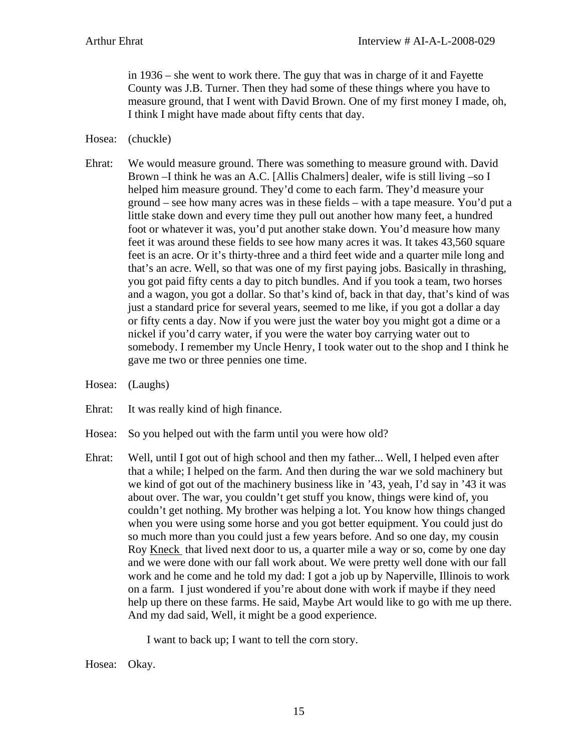in 1936 – she went to work there. The guy that was in charge of it and Fayette County was J.B. Turner. Then they had some of these things where you have to measure ground, that I went with David Brown. One of my first money I made, oh, I think I might have made about fifty cents that day.

- Hosea: (chuckle)
- Ehrat: We would measure ground. There was something to measure ground with. David Brown –I think he was an A.C. [Allis Chalmers] dealer, wife is still living –so I helped him measure ground. They'd come to each farm. They'd measure your ground – see how many acres was in these fields – with a tape measure. You'd put a little stake down and every time they pull out another how many feet, a hundred foot or whatever it was, you'd put another stake down. You'd measure how many feet it was around these fields to see how many acres it was. It takes 43,560 square feet is an acre. Or it's thirty-three and a third feet wide and a quarter mile long and that's an acre. Well, so that was one of my first paying jobs. Basically in thrashing, you got paid fifty cents a day to pitch bundles. And if you took a team, two horses and a wagon, you got a dollar. So that's kind of, back in that day, that's kind of was just a standard price for several years, seemed to me like, if you got a dollar a day or fifty cents a day. Now if you were just the water boy you might got a dime or a nickel if you'd carry water, if you were the water boy carrying water out to somebody. I remember my Uncle Henry, I took water out to the shop and I think he gave me two or three pennies one time.
- Hosea: (Laughs)
- Ehrat: It was really kind of high finance.
- Hosea: So you helped out with the farm until you were how old?
- Ehrat: Well, until I got out of high school and then my father... Well, I helped even after that a while; I helped on the farm. And then during the war we sold machinery but we kind of got out of the machinery business like in '43, yeah, I'd say in '43 it was about over. The war, you couldn't get stuff you know, things were kind of, you couldn't get nothing. My brother was helping a lot. You know how things changed when you were using some horse and you got better equipment. You could just do so much more than you could just a few years before. And so one day, my cousin Roy Kneck that lived next door to us, a quarter mile a way or so, come by one day and we were done with our fall work about. We were pretty well done with our fall work and he come and he told my dad: I got a job up by Naperville, Illinois to work on a farm. I just wondered if you're about done with work if maybe if they need help up there on these farms. He said, Maybe Art would like to go with me up there. And my dad said, Well, it might be a good experience.

I want to back up; I want to tell the corn story.

Hosea: Okay.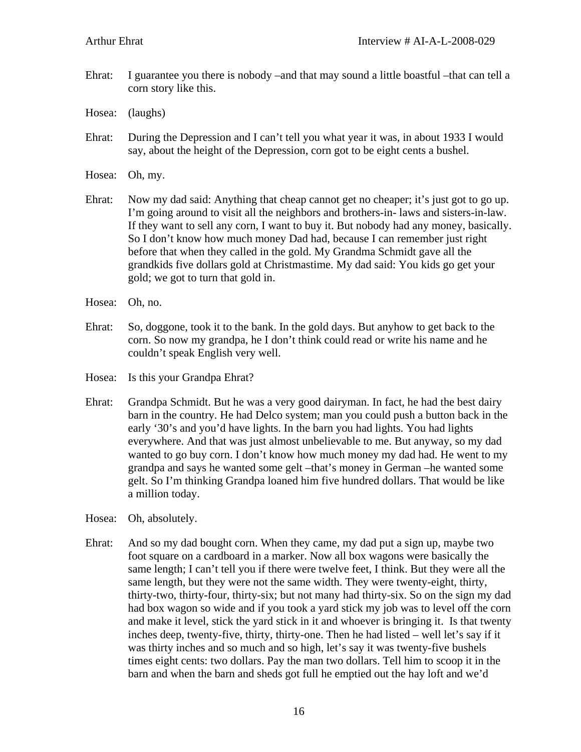Ehrat: I guarantee you there is nobody –and that may sound a little boastful –that can tell a corn story like this.

Hosea: (laughs)

- Ehrat: During the Depression and I can't tell you what year it was, in about 1933 I would say, about the height of the Depression, corn got to be eight cents a bushel.
- Hosea: Oh, my.
- Ehrat: Now my dad said: Anything that cheap cannot get no cheaper; it's just got to go up. I'm going around to visit all the neighbors and brothers-in- laws and sisters-in-law. If they want to sell any corn, I want to buy it. But nobody had any money, basically. So I don't know how much money Dad had, because I can remember just right before that when they called in the gold. My Grandma Schmidt gave all the grandkids five dollars gold at Christmastime. My dad said: You kids go get your gold; we got to turn that gold in.
- Hosea: Oh, no.
- Ehrat: So, doggone, took it to the bank. In the gold days. But anyhow to get back to the corn. So now my grandpa, he I don't think could read or write his name and he couldn't speak English very well.
- Hosea: Is this your Grandpa Ehrat?
- Ehrat: Grandpa Schmidt. But he was a very good dairyman. In fact, he had the best dairy barn in the country. He had Delco system; man you could push a button back in the early '30's and you'd have lights. In the barn you had lights. You had lights everywhere. And that was just almost unbelievable to me. But anyway, so my dad wanted to go buy corn. I don't know how much money my dad had. He went to my grandpa and says he wanted some gelt –that's money in German –he wanted some gelt. So I'm thinking Grandpa loaned him five hundred dollars. That would be like a million today.
- Hosea: Oh, absolutely.
- Ehrat: And so my dad bought corn. When they came, my dad put a sign up, maybe two foot square on a cardboard in a marker. Now all box wagons were basically the same length; I can't tell you if there were twelve feet, I think. But they were all the same length, but they were not the same width. They were twenty-eight, thirty, thirty-two, thirty-four, thirty-six; but not many had thirty-six. So on the sign my dad had box wagon so wide and if you took a yard stick my job was to level off the corn and make it level, stick the yard stick in it and whoever is bringing it. Is that twenty inches deep, twenty-five, thirty, thirty-one. Then he had listed – well let's say if it was thirty inches and so much and so high, let's say it was twenty-five bushels times eight cents: two dollars. Pay the man two dollars. Tell him to scoop it in the barn and when the barn and sheds got full he emptied out the hay loft and we'd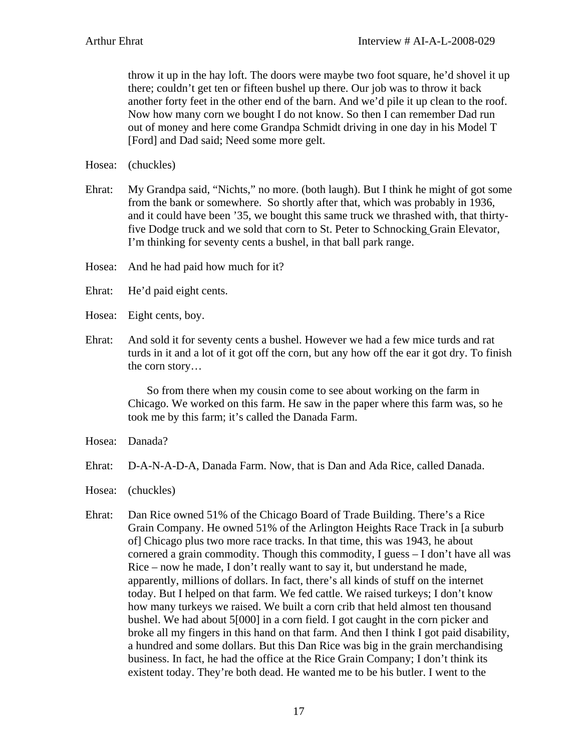throw it up in the hay loft. The doors were maybe two foot square, he'd shovel it up there; couldn't get ten or fifteen bushel up there. Our job was to throw it back another forty feet in the other end of the barn. And we'd pile it up clean to the roof. Now how many corn we bought I do not know. So then I can remember Dad run out of money and here come Grandpa Schmidt driving in one day in his Model T [Ford] and Dad said; Need some more gelt.

Hosea: (chuckles)

Ehrat: My Grandpa said, "Nichts," no more. (both laugh). But I think he might of got some from the bank or somewhere. So shortly after that, which was probably in 1936, and it could have been '35, we bought this same truck we thrashed with, that thirtyfive Dodge truck and we sold that corn to St. Peter to Schnocking Grain Elevator, I'm thinking for seventy cents a bushel, in that ball park range.

Hosea: And he had paid how much for it?

- Ehrat: He'd paid eight cents.
- Hosea: Eight cents, boy.
- Ehrat: And sold it for seventy cents a bushel. However we had a few mice turds and rat turds in it and a lot of it got off the corn, but any how off the ear it got dry. To finish the corn story…

So from there when my cousin come to see about working on the farm in Chicago. We worked on this farm. He saw in the paper where this farm was, so he took me by this farm; it's called the Danada Farm.

Hosea: Danada?

Ehrat: D-A-N-A-D-A, Danada Farm. Now, that is Dan and Ada Rice, called Danada.

Hosea: (chuckles)

Ehrat: Dan Rice owned 51% of the Chicago Board of Trade Building. There's a Rice Grain Company. He owned 51% of the Arlington Heights Race Track in [a suburb of] Chicago plus two more race tracks. In that time, this was 1943, he about cornered a grain commodity. Though this commodity, I guess – I don't have all was Rice – now he made, I don't really want to say it, but understand he made, apparently, millions of dollars. In fact, there's all kinds of stuff on the internet today. But I helped on that farm. We fed cattle. We raised turkeys; I don't know how many turkeys we raised. We built a corn crib that held almost ten thousand bushel. We had about 5[000] in a corn field. I got caught in the corn picker and broke all my fingers in this hand on that farm. And then I think I got paid disability, a hundred and some dollars. But this Dan Rice was big in the grain merchandising business. In fact, he had the office at the Rice Grain Company; I don't think its existent today. They're both dead. He wanted me to be his butler. I went to the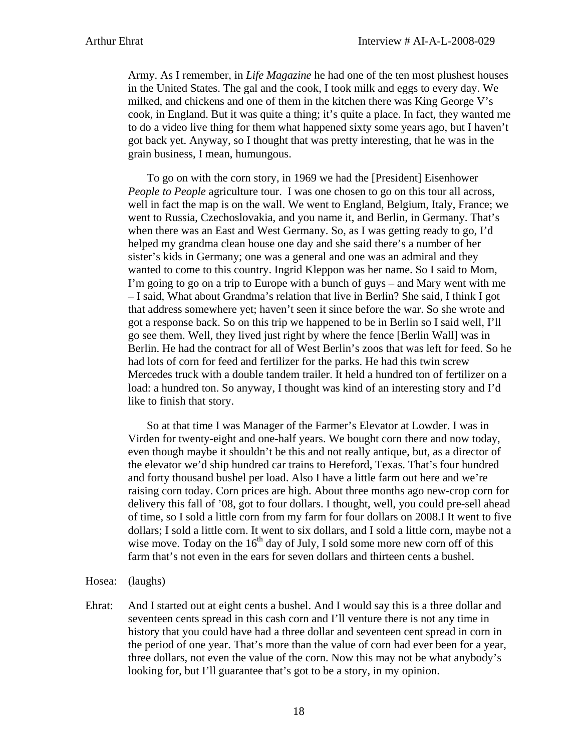Army. As I remember, in *Life Magazine* he had one of the ten most plushest houses in the United States. The gal and the cook, I took milk and eggs to every day. We milked, and chickens and one of them in the kitchen there was King George V's cook, in England. But it was quite a thing; it's quite a place. In fact, they wanted me to do a video live thing for them what happened sixty some years ago, but I haven't got back yet. Anyway, so I thought that was pretty interesting, that he was in the grain business, I mean, humungous.

 To go on with the corn story, in 1969 we had the [President] Eisenhower *People to People* agriculture tour. I was one chosen to go on this tour all across, well in fact the map is on the wall. We went to England, Belgium, Italy, France; we went to Russia, Czechoslovakia, and you name it, and Berlin, in Germany. That's when there was an East and West Germany. So, as I was getting ready to go, I'd helped my grandma clean house one day and she said there's a number of her sister's kids in Germany; one was a general and one was an admiral and they wanted to come to this country. Ingrid Kleppon was her name. So I said to Mom, I'm going to go on a trip to Europe with a bunch of guys – and Mary went with me – I said, What about Grandma's relation that live in Berlin? She said, I think I got that address somewhere yet; haven't seen it since before the war. So she wrote and got a response back. So on this trip we happened to be in Berlin so I said well, I'll go see them. Well, they lived just right by where the fence [Berlin Wall] was in Berlin. He had the contract for all of West Berlin's zoos that was left for feed. So he had lots of corn for feed and fertilizer for the parks. He had this twin screw Mercedes truck with a double tandem trailer. It held a hundred ton of fertilizer on a load: a hundred ton. So anyway, I thought was kind of an interesting story and I'd like to finish that story.

 So at that time I was Manager of the Farmer's Elevator at Lowder. I was in Virden for twenty-eight and one-half years. We bought corn there and now today, even though maybe it shouldn't be this and not really antique, but, as a director of the elevator we'd ship hundred car trains to Hereford, Texas. That's four hundred and forty thousand bushel per load. Also I have a little farm out here and we're raising corn today. Corn prices are high. About three months ago new-crop corn for delivery this fall of '08, got to four dollars. I thought, well, you could pre-sell ahead of time, so I sold a little corn from my farm for four dollars on 2008.I It went to five dollars; I sold a little corn. It went to six dollars, and I sold a little corn, maybe not a wise move. Today on the  $16<sup>th</sup>$  day of July, I sold some more new corn off of this farm that's not even in the ears for seven dollars and thirteen cents a bushel.

Hosea: (laughs)

Ehrat: And I started out at eight cents a bushel. And I would say this is a three dollar and seventeen cents spread in this cash corn and I'll venture there is not any time in history that you could have had a three dollar and seventeen cent spread in corn in the period of one year. That's more than the value of corn had ever been for a year, three dollars, not even the value of the corn. Now this may not be what anybody's looking for, but I'll guarantee that's got to be a story, in my opinion.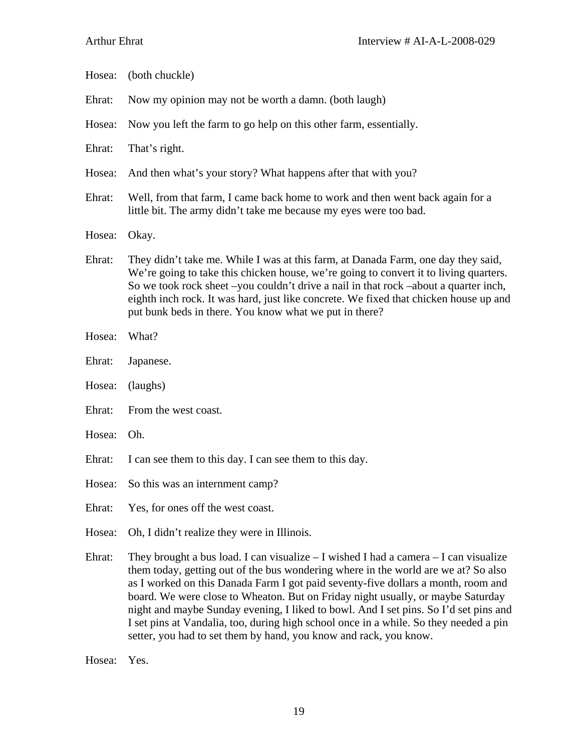| Hosea: | (both chuckle)                                                                                                                                                                                                                                                                                                                                                                                                                                                                                                                                                                                               |
|--------|--------------------------------------------------------------------------------------------------------------------------------------------------------------------------------------------------------------------------------------------------------------------------------------------------------------------------------------------------------------------------------------------------------------------------------------------------------------------------------------------------------------------------------------------------------------------------------------------------------------|
| Ehrat: | Now my opinion may not be worth a damn. (both laugh)                                                                                                                                                                                                                                                                                                                                                                                                                                                                                                                                                         |
| Hosea: | Now you left the farm to go help on this other farm, essentially.                                                                                                                                                                                                                                                                                                                                                                                                                                                                                                                                            |
| Ehrat: | That's right.                                                                                                                                                                                                                                                                                                                                                                                                                                                                                                                                                                                                |
| Hosea: | And then what's your story? What happens after that with you?                                                                                                                                                                                                                                                                                                                                                                                                                                                                                                                                                |
| Ehrat: | Well, from that farm, I came back home to work and then went back again for a<br>little bit. The army didn't take me because my eyes were too bad.                                                                                                                                                                                                                                                                                                                                                                                                                                                           |
| Hosea: | Okay.                                                                                                                                                                                                                                                                                                                                                                                                                                                                                                                                                                                                        |
| Ehrat: | They didn't take me. While I was at this farm, at Danada Farm, one day they said,<br>We're going to take this chicken house, we're going to convert it to living quarters.<br>So we took rock sheet -you couldn't drive a nail in that rock -about a quarter inch,<br>eighth inch rock. It was hard, just like concrete. We fixed that chicken house up and<br>put bunk beds in there. You know what we put in there?                                                                                                                                                                                        |
| Hosea: | What?                                                                                                                                                                                                                                                                                                                                                                                                                                                                                                                                                                                                        |
| Ehrat: | Japanese.                                                                                                                                                                                                                                                                                                                                                                                                                                                                                                                                                                                                    |
| Hosea: | (laughs)                                                                                                                                                                                                                                                                                                                                                                                                                                                                                                                                                                                                     |
| Ehrat: | From the west coast.                                                                                                                                                                                                                                                                                                                                                                                                                                                                                                                                                                                         |
| Hosea: | Oh.                                                                                                                                                                                                                                                                                                                                                                                                                                                                                                                                                                                                          |
| Ehrat: | I can see them to this day. I can see them to this day.                                                                                                                                                                                                                                                                                                                                                                                                                                                                                                                                                      |
| Hosea: | So this was an internment camp?                                                                                                                                                                                                                                                                                                                                                                                                                                                                                                                                                                              |
| Ehrat: | Yes, for ones off the west coast.                                                                                                                                                                                                                                                                                                                                                                                                                                                                                                                                                                            |
| Hosea: | Oh, I didn't realize they were in Illinois.                                                                                                                                                                                                                                                                                                                                                                                                                                                                                                                                                                  |
| Ehrat: | They brought a bus load. I can visualize $-$ I wished I had a camera $-$ I can visualize<br>them today, getting out of the bus wondering where in the world are we at? So also<br>as I worked on this Danada Farm I got paid seventy-five dollars a month, room and<br>board. We were close to Wheaton. But on Friday night usually, or maybe Saturday<br>night and maybe Sunday evening, I liked to bowl. And I set pins. So I'd set pins and<br>I set pins at Vandalia, too, during high school once in a while. So they needed a pin<br>setter, you had to set them by hand, you know and rack, you know. |
|        |                                                                                                                                                                                                                                                                                                                                                                                                                                                                                                                                                                                                              |

Hosea: Yes.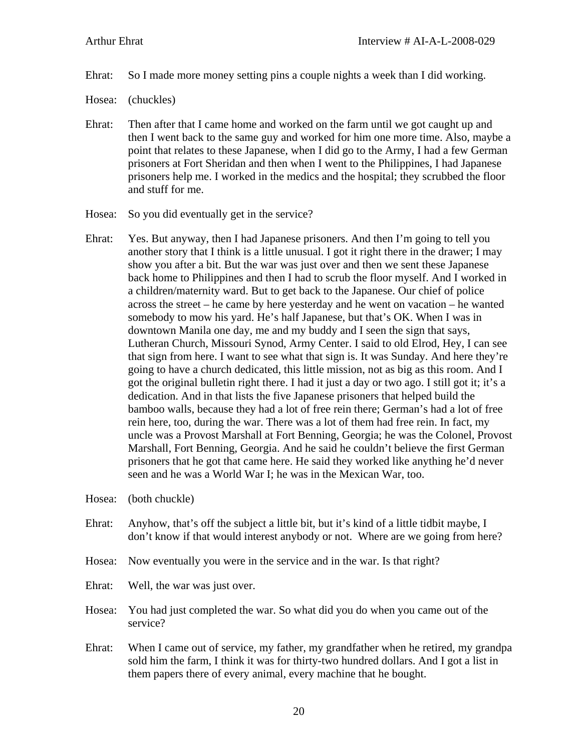- Ehrat: So I made more money setting pins a couple nights a week than I did working.
- Hosea: (chuckles)
- Ehrat: Then after that I came home and worked on the farm until we got caught up and then I went back to the same guy and worked for him one more time. Also, maybe a point that relates to these Japanese, when I did go to the Army, I had a few German prisoners at Fort Sheridan and then when I went to the Philippines, I had Japanese prisoners help me. I worked in the medics and the hospital; they scrubbed the floor and stuff for me.
- Hosea: So you did eventually get in the service?
- Ehrat: Yes. But anyway, then I had Japanese prisoners. And then I'm going to tell you another story that I think is a little unusual. I got it right there in the drawer; I may show you after a bit. But the war was just over and then we sent these Japanese back home to Philippines and then I had to scrub the floor myself. And I worked in a children/maternity ward. But to get back to the Japanese. Our chief of police across the street – he came by here yesterday and he went on vacation – he wanted somebody to mow his yard. He's half Japanese, but that's OK. When I was in downtown Manila one day, me and my buddy and I seen the sign that says, Lutheran Church, Missouri Synod, Army Center. I said to old Elrod, Hey, I can see that sign from here. I want to see what that sign is. It was Sunday. And here they're going to have a church dedicated, this little mission, not as big as this room. And I got the original bulletin right there. I had it just a day or two ago. I still got it; it's a dedication. And in that lists the five Japanese prisoners that helped build the bamboo walls, because they had a lot of free rein there; German's had a lot of free rein here, too, during the war. There was a lot of them had free rein. In fact, my uncle was a Provost Marshall at Fort Benning, Georgia; he was the Colonel, Provost Marshall, Fort Benning, Georgia. And he said he couldn't believe the first German prisoners that he got that came here. He said they worked like anything he'd never seen and he was a World War I; he was in the Mexican War, too.
- Hosea: (both chuckle)
- Ehrat: Anyhow, that's off the subject a little bit, but it's kind of a little tidbit maybe, I don't know if that would interest anybody or not. Where are we going from here?
- Hosea: Now eventually you were in the service and in the war. Is that right?
- Ehrat: Well, the war was just over.
- Hosea: You had just completed the war. So what did you do when you came out of the service?
- Ehrat: When I came out of service, my father, my grandfather when he retired, my grandpa sold him the farm, I think it was for thirty-two hundred dollars. And I got a list in them papers there of every animal, every machine that he bought.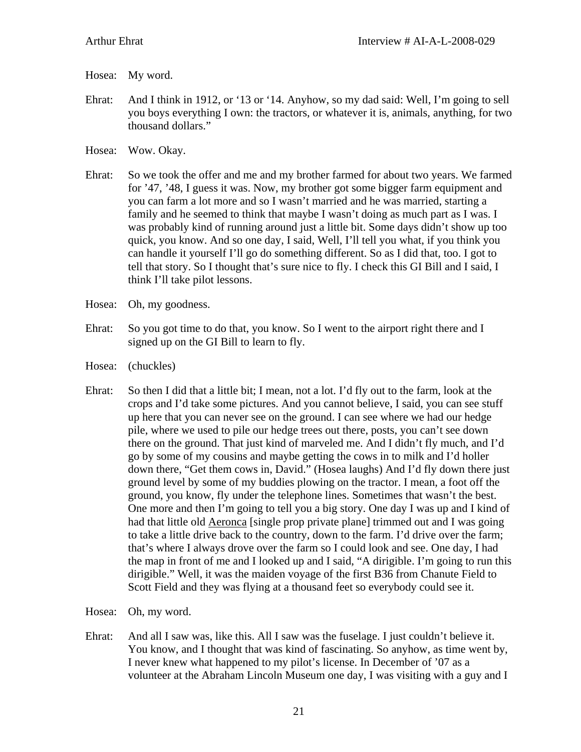- Hosea: My word.
- Ehrat: And I think in 1912, or '13 or '14. Anyhow, so my dad said: Well, I'm going to sell you boys everything I own: the tractors, or whatever it is, animals, anything, for two thousand dollars."
- Hosea: Wow. Okay.
- Ehrat: So we took the offer and me and my brother farmed for about two years. We farmed for '47, '48, I guess it was. Now, my brother got some bigger farm equipment and you can farm a lot more and so I wasn't married and he was married, starting a family and he seemed to think that maybe I wasn't doing as much part as I was. I was probably kind of running around just a little bit. Some days didn't show up too quick, you know. And so one day, I said, Well, I'll tell you what, if you think you can handle it yourself I'll go do something different. So as I did that, too. I got to tell that story. So I thought that's sure nice to fly. I check this GI Bill and I said, I think I'll take pilot lessons.
- Hosea: Oh, my goodness.
- Ehrat: So you got time to do that, you know. So I went to the airport right there and I signed up on the GI Bill to learn to fly.
- Hosea: (chuckles)
- Ehrat: So then I did that a little bit; I mean, not a lot. I'd fly out to the farm, look at the crops and I'd take some pictures. And you cannot believe, I said, you can see stuff up here that you can never see on the ground. I can see where we had our hedge pile, where we used to pile our hedge trees out there, posts, you can't see down there on the ground. That just kind of marveled me. And I didn't fly much, and I'd go by some of my cousins and maybe getting the cows in to milk and I'd holler down there, "Get them cows in, David." (Hosea laughs) And I'd fly down there just ground level by some of my buddies plowing on the tractor. I mean, a foot off the ground, you know, fly under the telephone lines. Sometimes that wasn't the best. One more and then I'm going to tell you a big story. One day I was up and I kind of had that little old Aeronca [single prop private plane] trimmed out and I was going to take a little drive back to the country, down to the farm. I'd drive over the farm; that's where I always drove over the farm so I could look and see. One day, I had the map in front of me and I looked up and I said, "A dirigible. I'm going to run this dirigible." Well, it was the maiden voyage of the first B36 from Chanute Field to Scott Field and they was flying at a thousand feet so everybody could see it.
- Hosea: Oh, my word.
- Ehrat: And all I saw was, like this. All I saw was the fuselage. I just couldn't believe it. You know, and I thought that was kind of fascinating. So anyhow, as time went by, I never knew what happened to my pilot's license. In December of '07 as a volunteer at the Abraham Lincoln Museum one day, I was visiting with a guy and I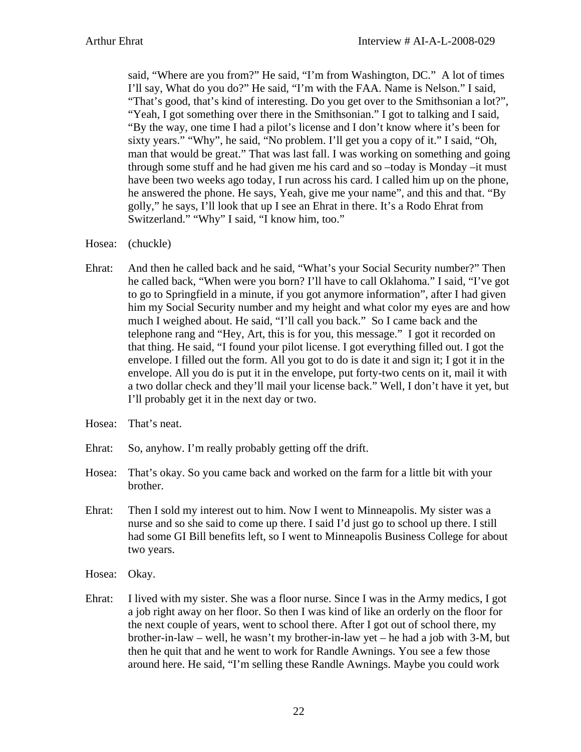said, "Where are you from?" He said, "I'm from Washington, DC." A lot of times I'll say, What do you do?" He said, "I'm with the FAA. Name is Nelson." I said, "That's good, that's kind of interesting. Do you get over to the Smithsonian a lot?", "Yeah, I got something over there in the Smithsonian." I got to talking and I said, "By the way, one time I had a pilot's license and I don't know where it's been for sixty years." "Why", he said, "No problem. I'll get you a copy of it." I said, "Oh, man that would be great." That was last fall. I was working on something and going through some stuff and he had given me his card and so –today is Monday –it must have been two weeks ago today, I run across his card. I called him up on the phone, he answered the phone. He says, Yeah, give me your name", and this and that. "By golly," he says, I'll look that up I see an Ehrat in there. It's a Rodo Ehrat from Switzerland." "Why" I said, "I know him, too."

- Hosea: (chuckle)
- Ehrat: And then he called back and he said, "What's your Social Security number?" Then he called back, "When were you born? I'll have to call Oklahoma." I said, "I've got to go to Springfield in a minute, if you got anymore information", after I had given him my Social Security number and my height and what color my eyes are and how much I weighed about. He said, "I'll call you back." So I came back and the telephone rang and "Hey, Art, this is for you, this message." I got it recorded on that thing. He said, "I found your pilot license. I got everything filled out. I got the envelope. I filled out the form. All you got to do is date it and sign it; I got it in the envelope. All you do is put it in the envelope, put forty-two cents on it, mail it with a two dollar check and they'll mail your license back." Well, I don't have it yet, but I'll probably get it in the next day or two.
- Hosea: That's neat.
- Ehrat: So, anyhow. I'm really probably getting off the drift.
- Hosea: That's okay. So you came back and worked on the farm for a little bit with your brother.
- Ehrat: Then I sold my interest out to him. Now I went to Minneapolis. My sister was a nurse and so she said to come up there. I said I'd just go to school up there. I still had some GI Bill benefits left, so I went to Minneapolis Business College for about two years.
- Hosea: Okay.
- Ehrat: I lived with my sister. She was a floor nurse. Since I was in the Army medics, I got a job right away on her floor. So then I was kind of like an orderly on the floor for the next couple of years, went to school there. After I got out of school there, my brother-in-law – well, he wasn't my brother-in-law yet – he had a job with 3-M, but then he quit that and he went to work for Randle Awnings. You see a few those around here. He said, "I'm selling these Randle Awnings. Maybe you could work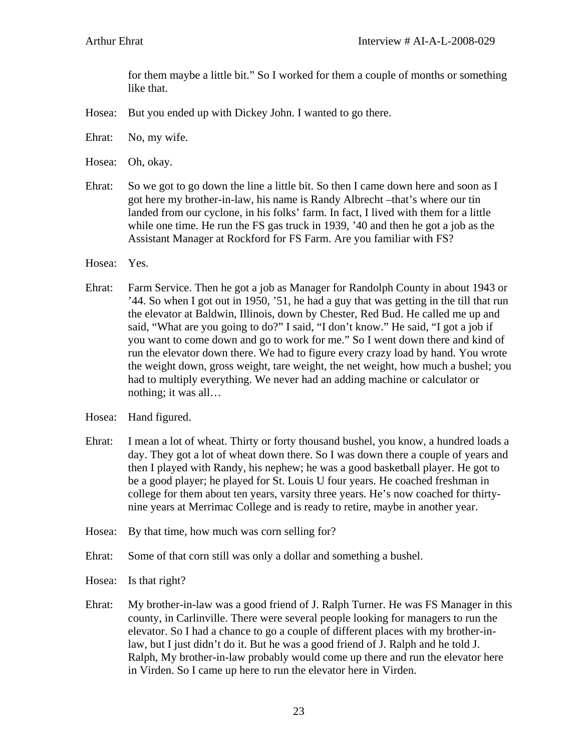for them maybe a little bit." So I worked for them a couple of months or something like that.

- Hosea: But you ended up with Dickey John. I wanted to go there.
- Ehrat: No, my wife.

Hosea: Oh, okay.

- Ehrat: So we got to go down the line a little bit. So then I came down here and soon as I got here my brother-in-law, his name is Randy Albrecht –that's where our tin landed from our cyclone, in his folks' farm. In fact, I lived with them for a little while one time. He run the FS gas truck in 1939, '40 and then he got a job as the Assistant Manager at Rockford for FS Farm. Are you familiar with FS?
- Hosea: Yes.
- Ehrat: Farm Service. Then he got a job as Manager for Randolph County in about 1943 or '44. So when I got out in 1950, '51, he had a guy that was getting in the till that run the elevator at Baldwin, Illinois, down by Chester, Red Bud. He called me up and said, "What are you going to do?" I said, "I don't know." He said, "I got a job if you want to come down and go to work for me." So I went down there and kind of run the elevator down there. We had to figure every crazy load by hand. You wrote the weight down, gross weight, tare weight, the net weight, how much a bushel; you had to multiply everything. We never had an adding machine or calculator or nothing; it was all…
- Hosea: Hand figured.
- Ehrat: I mean a lot of wheat. Thirty or forty thousand bushel, you know, a hundred loads a day. They got a lot of wheat down there. So I was down there a couple of years and then I played with Randy, his nephew; he was a good basketball player. He got to be a good player; he played for St. Louis U four years. He coached freshman in college for them about ten years, varsity three years. He's now coached for thirtynine years at Merrimac College and is ready to retire, maybe in another year.
- Hosea: By that time, how much was corn selling for?
- Ehrat: Some of that corn still was only a dollar and something a bushel.
- Hosea: Is that right?
- Ehrat: My brother-in-law was a good friend of J. Ralph Turner. He was FS Manager in this county, in Carlinville. There were several people looking for managers to run the elevator. So I had a chance to go a couple of different places with my brother-inlaw, but I just didn't do it. But he was a good friend of J. Ralph and he told J. Ralph, My brother-in-law probably would come up there and run the elevator here in Virden. So I came up here to run the elevator here in Virden.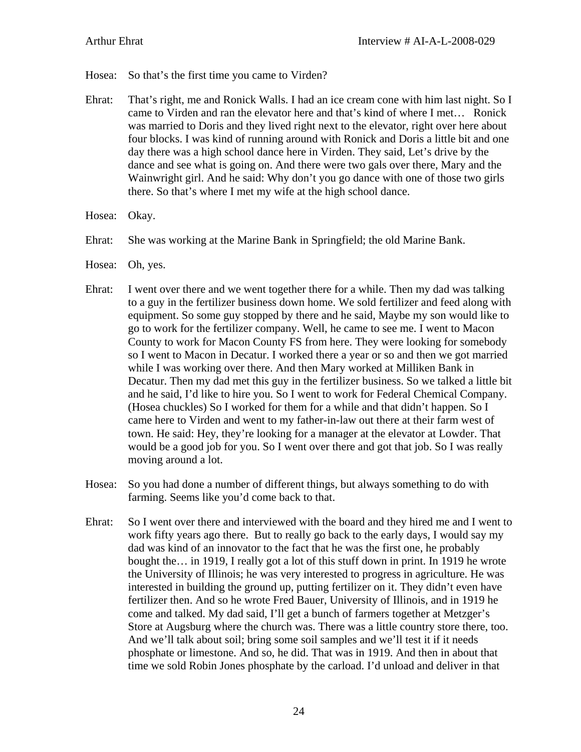- Hosea: So that's the first time you came to Virden?
- Ehrat: That's right, me and Ronick Walls. I had an ice cream cone with him last night. So I came to Virden and ran the elevator here and that's kind of where I met… Ronick was married to Doris and they lived right next to the elevator, right over here about four blocks. I was kind of running around with Ronick and Doris a little bit and one day there was a high school dance here in Virden. They said, Let's drive by the dance and see what is going on. And there were two gals over there, Mary and the Wainwright girl. And he said: Why don't you go dance with one of those two girls there. So that's where I met my wife at the high school dance.
- Hosea: Okay.
- Ehrat: She was working at the Marine Bank in Springfield; the old Marine Bank.
- Hosea: Oh, yes.
- Ehrat: I went over there and we went together there for a while. Then my dad was talking to a guy in the fertilizer business down home. We sold fertilizer and feed along with equipment. So some guy stopped by there and he said, Maybe my son would like to go to work for the fertilizer company. Well, he came to see me. I went to Macon County to work for Macon County FS from here. They were looking for somebody so I went to Macon in Decatur. I worked there a year or so and then we got married while I was working over there. And then Mary worked at Milliken Bank in Decatur. Then my dad met this guy in the fertilizer business. So we talked a little bit and he said, I'd like to hire you. So I went to work for Federal Chemical Company. (Hosea chuckles) So I worked for them for a while and that didn't happen. So I came here to Virden and went to my father-in-law out there at their farm west of town. He said: Hey, they're looking for a manager at the elevator at Lowder. That would be a good job for you. So I went over there and got that job. So I was really moving around a lot.
- Hosea: So you had done a number of different things, but always something to do with farming. Seems like you'd come back to that.
- Ehrat: So I went over there and interviewed with the board and they hired me and I went to work fifty years ago there. But to really go back to the early days, I would say my dad was kind of an innovator to the fact that he was the first one, he probably bought the… in 1919, I really got a lot of this stuff down in print. In 1919 he wrote the University of Illinois; he was very interested to progress in agriculture. He was interested in building the ground up, putting fertilizer on it. They didn't even have fertilizer then. And so he wrote Fred Bauer, University of Illinois, and in 1919 he come and talked. My dad said, I'll get a bunch of farmers together at Metzger's Store at Augsburg where the church was. There was a little country store there, too. And we'll talk about soil; bring some soil samples and we'll test it if it needs phosphate or limestone. And so, he did. That was in 1919. And then in about that time we sold Robin Jones phosphate by the carload. I'd unload and deliver in that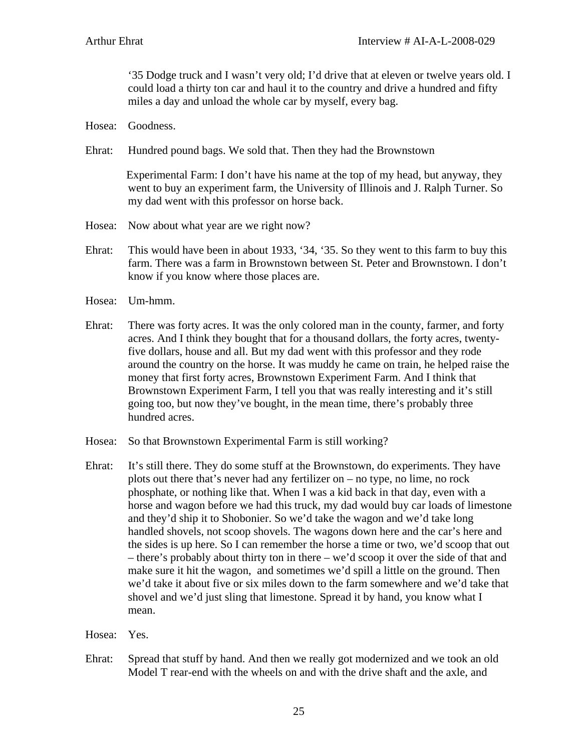'35 Dodge truck and I wasn't very old; I'd drive that at eleven or twelve years old. I could load a thirty ton car and haul it to the country and drive a hundred and fifty miles a day and unload the whole car by myself, every bag.

- Hosea: Goodness.
- Ehrat: Hundred pound bags. We sold that. Then they had the Brownstown

Experimental Farm: I don't have his name at the top of my head, but anyway, they went to buy an experiment farm, the University of Illinois and J. Ralph Turner. So my dad went with this professor on horse back.

- Hosea: Now about what year are we right now?
- Ehrat: This would have been in about 1933, '34, '35. So they went to this farm to buy this farm. There was a farm in Brownstown between St. Peter and Brownstown. I don't know if you know where those places are.
- Hosea: Um-hmm.
- Ehrat: There was forty acres. It was the only colored man in the county, farmer, and forty acres. And I think they bought that for a thousand dollars, the forty acres, twentyfive dollars, house and all. But my dad went with this professor and they rode around the country on the horse. It was muddy he came on train, he helped raise the money that first forty acres, Brownstown Experiment Farm. And I think that Brownstown Experiment Farm, I tell you that was really interesting and it's still going too, but now they've bought, in the mean time, there's probably three hundred acres.
- Hosea: So that Brownstown Experimental Farm is still working?
- Ehrat: It's still there. They do some stuff at the Brownstown, do experiments. They have plots out there that's never had any fertilizer on – no type, no lime, no rock phosphate, or nothing like that. When I was a kid back in that day, even with a horse and wagon before we had this truck, my dad would buy car loads of limestone and they'd ship it to Shobonier. So we'd take the wagon and we'd take long handled shovels, not scoop shovels. The wagons down here and the car's here and the sides is up here. So I can remember the horse a time or two, we'd scoop that out – there's probably about thirty ton in there – we'd scoop it over the side of that and make sure it hit the wagon, and sometimes we'd spill a little on the ground. Then we'd take it about five or six miles down to the farm somewhere and we'd take that shovel and we'd just sling that limestone. Spread it by hand, you know what I mean.

## Hosea: Yes.

Ehrat: Spread that stuff by hand. And then we really got modernized and we took an old Model T rear-end with the wheels on and with the drive shaft and the axle, and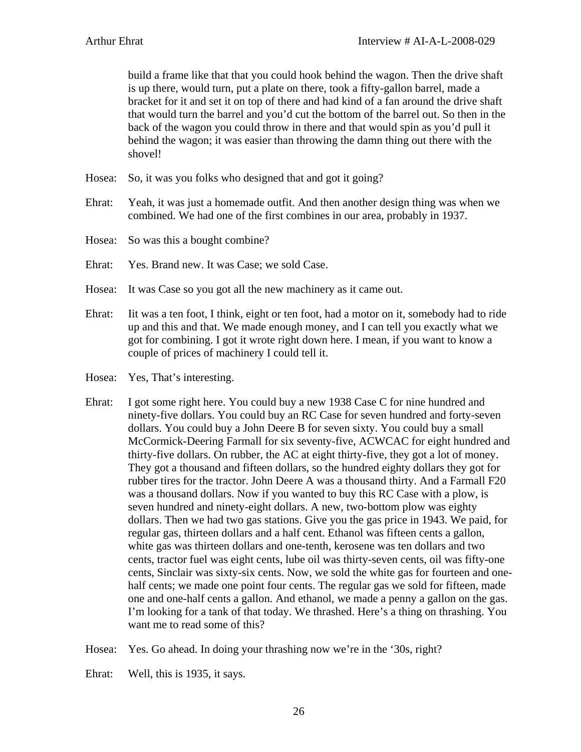build a frame like that that you could hook behind the wagon. Then the drive shaft is up there, would turn, put a plate on there, took a fifty-gallon barrel, made a bracket for it and set it on top of there and had kind of a fan around the drive shaft that would turn the barrel and you'd cut the bottom of the barrel out. So then in the back of the wagon you could throw in there and that would spin as you'd pull it behind the wagon; it was easier than throwing the damn thing out there with the shovel!

- Hosea: So, it was you folks who designed that and got it going?
- Ehrat: Yeah, it was just a homemade outfit. And then another design thing was when we combined. We had one of the first combines in our area, probably in 1937.
- Hosea: So was this a bought combine?
- Ehrat: Yes. Brand new. It was Case; we sold Case.
- Hosea: It was Case so you got all the new machinery as it came out.
- Ehrat: Iit was a ten foot, I think, eight or ten foot, had a motor on it, somebody had to ride up and this and that. We made enough money, and I can tell you exactly what we got for combining. I got it wrote right down here. I mean, if you want to know a couple of prices of machinery I could tell it.
- Hosea: Yes, That's interesting.
- Ehrat: I got some right here. You could buy a new 1938 Case C for nine hundred and ninety-five dollars. You could buy an RC Case for seven hundred and forty-seven dollars. You could buy a John Deere B for seven sixty. You could buy a small McCormick-Deering Farmall for six seventy-five, ACWCAC for eight hundred and thirty-five dollars. On rubber, the AC at eight thirty-five, they got a lot of money. They got a thousand and fifteen dollars, so the hundred eighty dollars they got for rubber tires for the tractor. John Deere A was a thousand thirty. And a Farmall F20 was a thousand dollars. Now if you wanted to buy this RC Case with a plow, is seven hundred and ninety-eight dollars. A new, two-bottom plow was eighty dollars. Then we had two gas stations. Give you the gas price in 1943. We paid, for regular gas, thirteen dollars and a half cent. Ethanol was fifteen cents a gallon, white gas was thirteen dollars and one-tenth, kerosene was ten dollars and two cents, tractor fuel was eight cents, lube oil was thirty-seven cents, oil was fifty-one cents, Sinclair was sixty-six cents. Now, we sold the white gas for fourteen and onehalf cents; we made one point four cents. The regular gas we sold for fifteen, made one and one-half cents a gallon. And ethanol, we made a penny a gallon on the gas. I'm looking for a tank of that today. We thrashed. Here's a thing on thrashing. You want me to read some of this?
- Hosea: Yes. Go ahead. In doing your thrashing now we're in the '30s, right?
- Ehrat: Well, this is 1935, it says.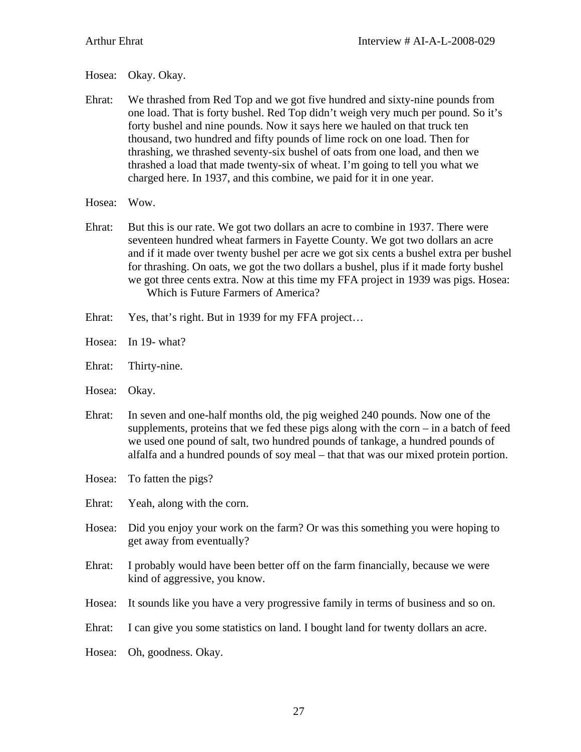Hosea: Okay. Okay.

- Ehrat: We thrashed from Red Top and we got five hundred and sixty-nine pounds from one load. That is forty bushel. Red Top didn't weigh very much per pound. So it's forty bushel and nine pounds. Now it says here we hauled on that truck ten thousand, two hundred and fifty pounds of lime rock on one load. Then for thrashing, we thrashed seventy-six bushel of oats from one load, and then we thrashed a load that made twenty-six of wheat. I'm going to tell you what we charged here. In 1937, and this combine, we paid for it in one year.
- Hosea: Wow.
- Ehrat: But this is our rate. We got two dollars an acre to combine in 1937. There were seventeen hundred wheat farmers in Fayette County. We got two dollars an acre and if it made over twenty bushel per acre we got six cents a bushel extra per bushel for thrashing. On oats, we got the two dollars a bushel, plus if it made forty bushel we got three cents extra. Now at this time my FFA project in 1939 was pigs. Hosea: Which is Future Farmers of America?
- Ehrat: Yes, that's right. But in 1939 for my FFA project...
- Hosea: In 19- what?
- Ehrat: Thirty-nine.
- Hosea: Okay.
- Ehrat: In seven and one-half months old, the pig weighed 240 pounds. Now one of the supplements, proteins that we fed these pigs along with the corn – in a batch of feed we used one pound of salt, two hundred pounds of tankage, a hundred pounds of alfalfa and a hundred pounds of soy meal – that that was our mixed protein portion.
- Hosea: To fatten the pigs?
- Ehrat: Yeah, along with the corn.
- Hosea: Did you enjoy your work on the farm? Or was this something you were hoping to get away from eventually?
- Ehrat: I probably would have been better off on the farm financially, because we were kind of aggressive, you know.
- Hosea: It sounds like you have a very progressive family in terms of business and so on.
- Ehrat: I can give you some statistics on land. I bought land for twenty dollars an acre.
- Hosea: Oh, goodness. Okay.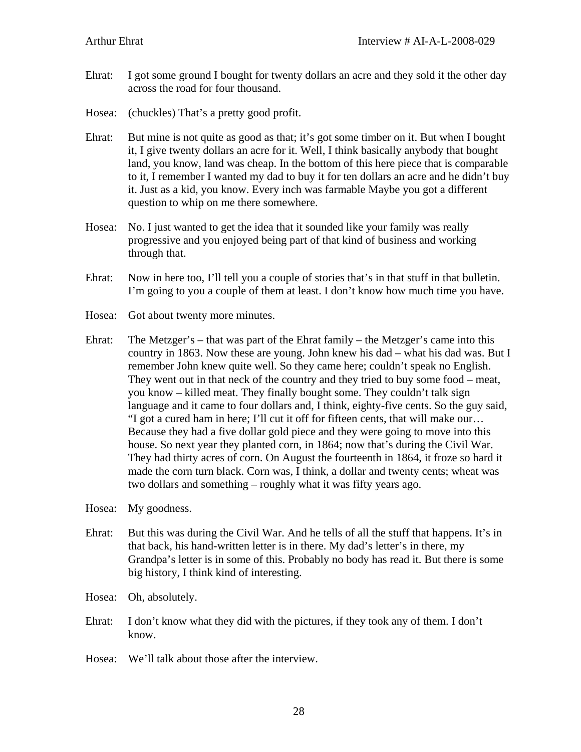- Ehrat: I got some ground I bought for twenty dollars an acre and they sold it the other day across the road for four thousand.
- Hosea: (chuckles) That's a pretty good profit.
- Ehrat: But mine is not quite as good as that; it's got some timber on it. But when I bought it, I give twenty dollars an acre for it. Well, I think basically anybody that bought land, you know, land was cheap. In the bottom of this here piece that is comparable to it, I remember I wanted my dad to buy it for ten dollars an acre and he didn't buy it. Just as a kid, you know. Every inch was farmable Maybe you got a different question to whip on me there somewhere.
- Hosea: No. I just wanted to get the idea that it sounded like your family was really progressive and you enjoyed being part of that kind of business and working through that.
- Ehrat: Now in here too, I'll tell you a couple of stories that's in that stuff in that bulletin. I'm going to you a couple of them at least. I don't know how much time you have.
- Hosea: Got about twenty more minutes.
- Ehrat: The Metzger's that was part of the Ehrat family the Metzger's came into this country in 1863. Now these are young. John knew his dad – what his dad was. But I remember John knew quite well. So they came here; couldn't speak no English. They went out in that neck of the country and they tried to buy some food – meat, you know – killed meat. They finally bought some. They couldn't talk sign language and it came to four dollars and, I think, eighty-five cents. So the guy said, "I got a cured ham in here; I'll cut it off for fifteen cents, that will make our… Because they had a five dollar gold piece and they were going to move into this house. So next year they planted corn, in 1864; now that's during the Civil War. They had thirty acres of corn. On August the fourteenth in 1864, it froze so hard it made the corn turn black. Corn was, I think, a dollar and twenty cents; wheat was two dollars and something – roughly what it was fifty years ago.
- Hosea: My goodness.
- Ehrat: But this was during the Civil War. And he tells of all the stuff that happens. It's in that back, his hand-written letter is in there. My dad's letter's in there, my Grandpa's letter is in some of this. Probably no body has read it. But there is some big history, I think kind of interesting.
- Hosea: Oh, absolutely.
- Ehrat: I don't know what they did with the pictures, if they took any of them. I don't know.
- Hosea: We'll talk about those after the interview.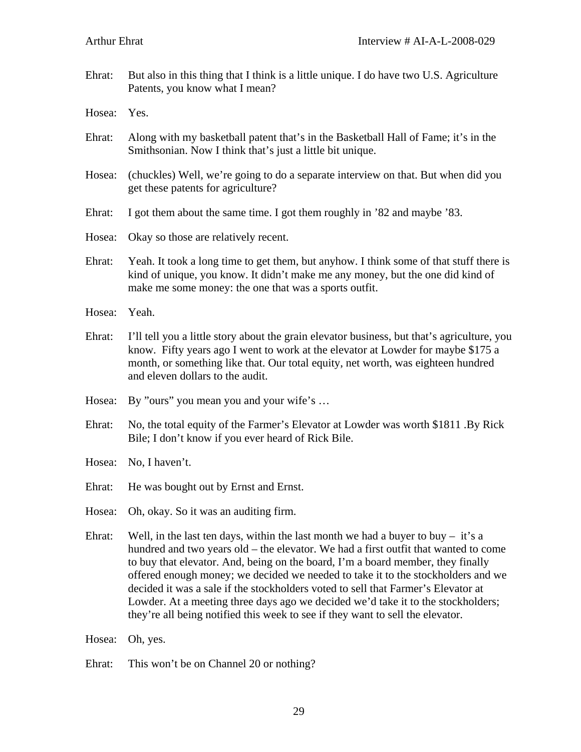Ehrat: But also in this thing that I think is a little unique. I do have two U.S. Agriculture Patents, you know what I mean?

Hosea: Yes.

- Ehrat: Along with my basketball patent that's in the Basketball Hall of Fame; it's in the Smithsonian. Now I think that's just a little bit unique.
- Hosea: (chuckles) Well, we're going to do a separate interview on that. But when did you get these patents for agriculture?
- Ehrat: I got them about the same time. I got them roughly in '82 and maybe '83.
- Hosea: Okay so those are relatively recent.
- Ehrat: Yeah. It took a long time to get them, but anyhow. I think some of that stuff there is kind of unique, you know. It didn't make me any money, but the one did kind of make me some money: the one that was a sports outfit.
- Hosea: Yeah.
- Ehrat: I'll tell you a little story about the grain elevator business, but that's agriculture, you know. Fifty years ago I went to work at the elevator at Lowder for maybe \$175 a month, or something like that. Our total equity, net worth, was eighteen hundred and eleven dollars to the audit.
- Hosea: By "ours" you mean you and your wife's ...
- Ehrat: No, the total equity of the Farmer's Elevator at Lowder was worth \$1811 .By Rick Bile; I don't know if you ever heard of Rick Bile.
- Hosea: No, I haven't.
- Ehrat: He was bought out by Ernst and Ernst.
- Hosea: Oh, okay. So it was an auditing firm.
- Ehrat: Well, in the last ten days, within the last month we had a buyer to buy it's a hundred and two years old – the elevator. We had a first outfit that wanted to come to buy that elevator. And, being on the board, I'm a board member, they finally offered enough money; we decided we needed to take it to the stockholders and we decided it was a sale if the stockholders voted to sell that Farmer's Elevator at Lowder. At a meeting three days ago we decided we'd take it to the stockholders; they're all being notified this week to see if they want to sell the elevator.
- Hosea: Oh, yes.
- Ehrat: This won't be on Channel 20 or nothing?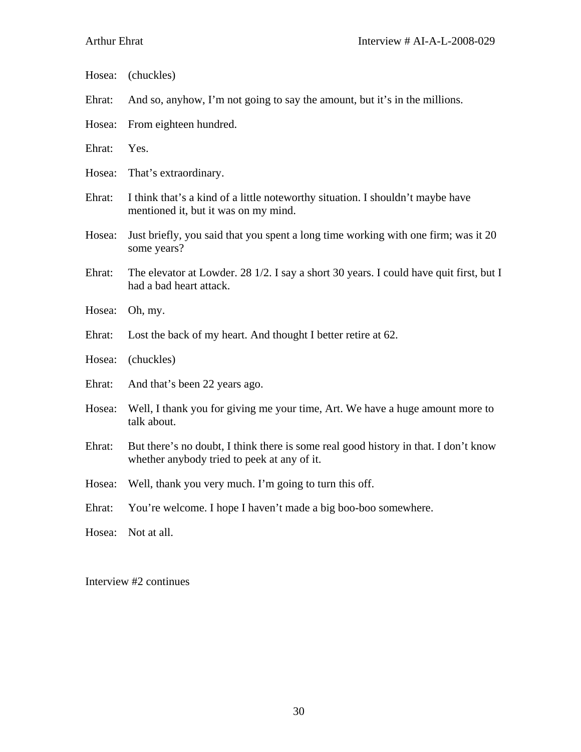- Ehrat: And so, anyhow, I'm not going to say the amount, but it's in the millions.
- Hosea: From eighteen hundred.
- Ehrat: Yes.
- Hosea: That's extraordinary.
- Ehrat: I think that's a kind of a little noteworthy situation. I shouldn't maybe have mentioned it, but it was on my mind.
- Hosea: Just briefly, you said that you spent a long time working with one firm; was it 20 some years?
- Ehrat: The elevator at Lowder. 28 1/2. I say a short 30 years. I could have quit first, but I had a bad heart attack.
- Hosea: Oh, my.
- Ehrat: Lost the back of my heart. And thought I better retire at 62.
- Hosea: (chuckles)
- Ehrat: And that's been 22 years ago.
- Hosea: Well, I thank you for giving me your time, Art. We have a huge amount more to talk about.
- Ehrat: But there's no doubt, I think there is some real good history in that. I don't know whether anybody tried to peek at any of it.
- Hosea: Well, thank you very much. I'm going to turn this off.
- Ehrat: You're welcome. I hope I haven't made a big boo-boo somewhere.

Hosea: Not at all.

Interview #2 continues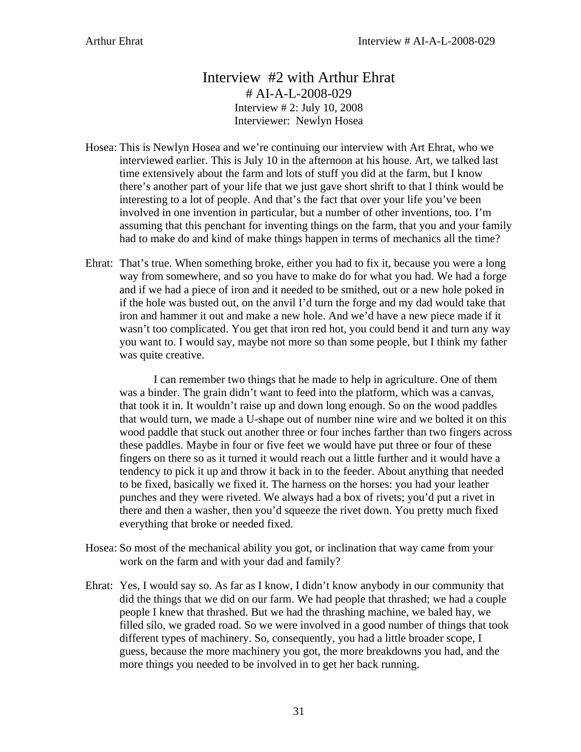# Interview #2 with Arthur Ehrat # AI-A-L-2008-029 Interview # 2: July 10, 2008 Interviewer: Newlyn Hosea

- Hosea: This is Newlyn Hosea and we're continuing our interview with Art Ehrat, who we interviewed earlier. This is July 10 in the afternoon at his house. Art, we talked last time extensively about the farm and lots of stuff you did at the farm, but I know there's another part of your life that we just gave short shrift to that I think would be interesting to a lot of people. And that's the fact that over your life you've been involved in one invention in particular, but a number of other inventions, too. I'm assuming that this penchant for inventing things on the farm, that you and your family had to make do and kind of make things happen in terms of mechanics all the time?
- Ehrat: That's true. When something broke, either you had to fix it, because you were a long way from somewhere, and so you have to make do for what you had. We had a forge and if we had a piece of iron and it needed to be smithed, out or a new hole poked in if the hole was busted out, on the anvil I'd turn the forge and my dad would take that iron and hammer it out and make a new hole. And we'd have a new piece made if it wasn't too complicated. You get that iron red hot, you could bend it and turn any way you want to. I would say, maybe not more so than some people, but I think my father was quite creative.

I can remember two things that he made to help in agriculture. One of them was a binder. The grain didn't want to feed into the platform, which was a canvas, that took it in. It wouldn't raise up and down long enough. So on the wood paddles that would turn, we made a U-shape out of number nine wire and we bolted it on this wood paddle that stuck out another three or four inches farther than two fingers across these paddles. Maybe in four or five feet we would have put three or four of these fingers on there so as it turned it would reach out a little further and it would have a tendency to pick it up and throw it back in to the feeder. About anything that needed to be fixed, basically we fixed it. The harness on the horses: you had your leather punches and they were riveted. We always had a box of rivets; you'd put a rivet in there and then a washer, then you'd squeeze the rivet down. You pretty much fixed everything that broke or needed fixed.

- Hosea: So most of the mechanical ability you got, or inclination that way came from your work on the farm and with your dad and family?
- Ehrat: Yes, I would say so. As far as I know, I didn't know anybody in our community that did the things that we did on our farm. We had people that thrashed; we had a couple people I knew that thrashed. But we had the thrashing machine, we baled hay, we filled silo, we graded road. So we were involved in a good number of things that took different types of machinery. So, consequently, you had a little broader scope, I guess, because the more machinery you got, the more breakdowns you had, and the more things you needed to be involved in to get her back running.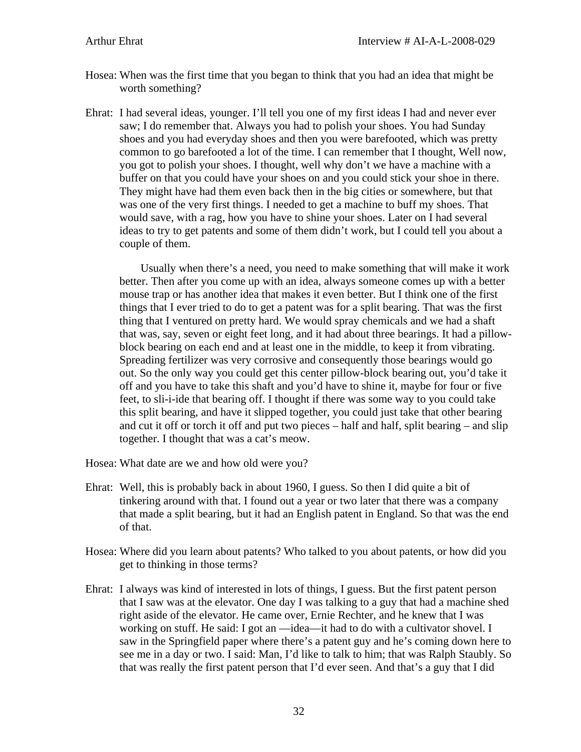- Hosea: When was the first time that you began to think that you had an idea that might be worth something?
- Ehrat: I had several ideas, younger. I'll tell you one of my first ideas I had and never ever saw; I do remember that. Always you had to polish your shoes. You had Sunday shoes and you had everyday shoes and then you were barefooted, which was pretty common to go barefooted a lot of the time. I can remember that I thought, Well now, you got to polish your shoes. I thought, well why don't we have a machine with a buffer on that you could have your shoes on and you could stick your shoe in there. They might have had them even back then in the big cities or somewhere, but that was one of the very first things. I needed to get a machine to buff my shoes. That would save, with a rag, how you have to shine your shoes. Later on I had several ideas to try to get patents and some of them didn't work, but I could tell you about a couple of them.

 Usually when there's a need, you need to make something that will make it work better. Then after you come up with an idea, always someone comes up with a better mouse trap or has another idea that makes it even better. But I think one of the first things that I ever tried to do to get a patent was for a split bearing. That was the first thing that I ventured on pretty hard. We would spray chemicals and we had a shaft that was, say, seven or eight feet long, and it had about three bearings. It had a pillowblock bearing on each end and at least one in the middle, to keep it from vibrating. Spreading fertilizer was very corrosive and consequently those bearings would go out. So the only way you could get this center pillow-block bearing out, you'd take it off and you have to take this shaft and you'd have to shine it, maybe for four or five feet, to sli-i-ide that bearing off. I thought if there was some way to you could take this split bearing, and have it slipped together, you could just take that other bearing and cut it off or torch it off and put two pieces – half and half, split bearing – and slip together. I thought that was a cat's meow.

Hosea: What date are we and how old were you?

- Ehrat: Well, this is probably back in about 1960, I guess. So then I did quite a bit of tinkering around with that. I found out a year or two later that there was a company that made a split bearing, but it had an English patent in England. So that was the end of that.
- Hosea: Where did you learn about patents? Who talked to you about patents, or how did you get to thinking in those terms?
- Ehrat: I always was kind of interested in lots of things, I guess. But the first patent person that I saw was at the elevator. One day I was talking to a guy that had a machine shed right aside of the elevator. He came over, Ernie Rechter, and he knew that I was working on stuff. He said: I got an —idea—it had to do with a cultivator shovel. I saw in the Springfield paper where there's a patent guy and he's coming down here to see me in a day or two. I said: Man, I'd like to talk to him; that was Ralph Staubly. So that was really the first patent person that I'd ever seen. And that's a guy that I did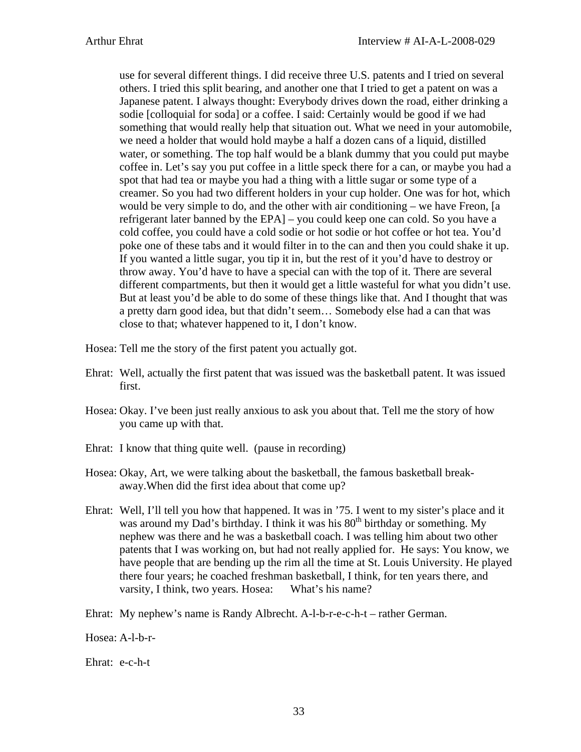use for several different things. I did receive three U.S. patents and I tried on several others. I tried this split bearing, and another one that I tried to get a patent on was a Japanese patent. I always thought: Everybody drives down the road, either drinking a sodie [colloquial for soda] or a coffee. I said: Certainly would be good if we had something that would really help that situation out. What we need in your automobile, we need a holder that would hold maybe a half a dozen cans of a liquid, distilled water, or something. The top half would be a blank dummy that you could put maybe coffee in. Let's say you put coffee in a little speck there for a can, or maybe you had a spot that had tea or maybe you had a thing with a little sugar or some type of a creamer. So you had two different holders in your cup holder. One was for hot, which would be very simple to do, and the other with air conditioning – we have Freon, [a refrigerant later banned by the EPA] – you could keep one can cold. So you have a cold coffee, you could have a cold sodie or hot sodie or hot coffee or hot tea. You'd poke one of these tabs and it would filter in to the can and then you could shake it up. If you wanted a little sugar, you tip it in, but the rest of it you'd have to destroy or throw away. You'd have to have a special can with the top of it. There are several different compartments, but then it would get a little wasteful for what you didn't use. But at least you'd be able to do some of these things like that. And I thought that was a pretty darn good idea, but that didn't seem… Somebody else had a can that was close to that; whatever happened to it, I don't know.

- Hosea: Tell me the story of the first patent you actually got.
- Ehrat: Well, actually the first patent that was issued was the basketball patent. It was issued first.
- Hosea: Okay. I've been just really anxious to ask you about that. Tell me the story of how you came up with that.
- Ehrat: I know that thing quite well. (pause in recording)
- Hosea: Okay, Art, we were talking about the basketball, the famous basketball breakaway.When did the first idea about that come up?
- Ehrat: Well, I'll tell you how that happened. It was in '75. I went to my sister's place and it was around my Dad's birthday. I think it was his  $80<sup>th</sup>$  birthday or something. My nephew was there and he was a basketball coach. I was telling him about two other patents that I was working on, but had not really applied for. He says: You know, we have people that are bending up the rim all the time at St. Louis University. He played there four years; he coached freshman basketball, I think, for ten years there, and varsity, I think, two years. Hosea: What's his name?
- Ehrat: My nephew's name is Randy Albrecht. A-l-b-r-e-c-h-t rather German.

Hosea: A-l-b-r-

Ehrat: e-c-h-t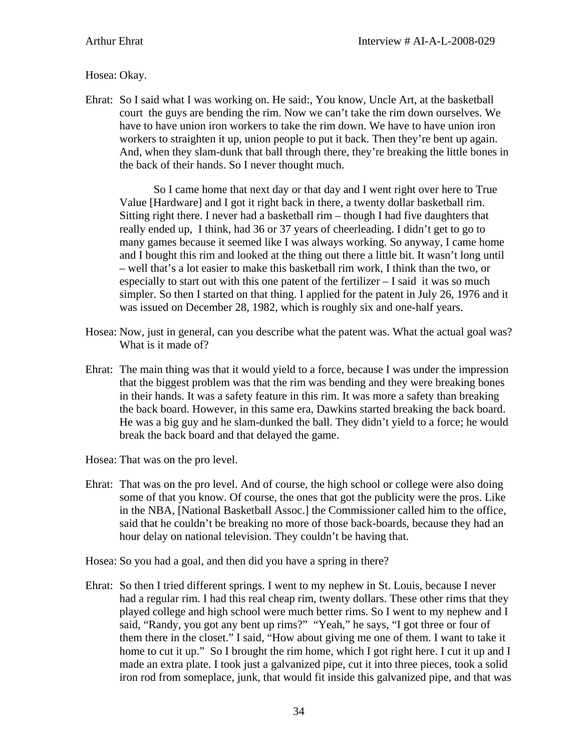## Hosea: Okay.

Ehrat: So I said what I was working on. He said:, You know, Uncle Art, at the basketball court the guys are bending the rim. Now we can't take the rim down ourselves. We have to have union iron workers to take the rim down. We have to have union iron workers to straighten it up, union people to put it back. Then they're bent up again. And, when they slam-dunk that ball through there, they're breaking the little bones in the back of their hands. So I never thought much.

So I came home that next day or that day and I went right over here to True Value [Hardware] and I got it right back in there, a twenty dollar basketball rim. Sitting right there. I never had a basketball rim – though I had five daughters that really ended up, I think, had 36 or 37 years of cheerleading. I didn't get to go to many games because it seemed like I was always working. So anyway, I came home and I bought this rim and looked at the thing out there a little bit. It wasn't long until – well that's a lot easier to make this basketball rim work, I think than the two, or especially to start out with this one patent of the fertilizer – I said it was so much simpler. So then I started on that thing. I applied for the patent in July 26, 1976 and it was issued on December 28, 1982, which is roughly six and one-half years.

- Hosea: Now, just in general, can you describe what the patent was. What the actual goal was? What is it made of?
- Ehrat: The main thing was that it would yield to a force, because I was under the impression that the biggest problem was that the rim was bending and they were breaking bones in their hands. It was a safety feature in this rim. It was more a safety than breaking the back board. However, in this same era, Dawkins started breaking the back board. He was a big guy and he slam-dunked the ball. They didn't yield to a force; he would break the back board and that delayed the game.
- Hosea: That was on the pro level.
- Ehrat: That was on the pro level. And of course, the high school or college were also doing some of that you know. Of course, the ones that got the publicity were the pros. Like in the NBA, [National Basketball Assoc.] the Commissioner called him to the office, said that he couldn't be breaking no more of those back-boards, because they had an hour delay on national television. They couldn't be having that.

Hosea: So you had a goal, and then did you have a spring in there?

Ehrat: So then I tried different springs. I went to my nephew in St. Louis, because I never had a regular rim. I had this real cheap rim, twenty dollars. These other rims that they played college and high school were much better rims. So I went to my nephew and I said, "Randy, you got any bent up rims?" "Yeah," he says, "I got three or four of them there in the closet." I said, "How about giving me one of them. I want to take it home to cut it up." So I brought the rim home, which I got right here. I cut it up and I made an extra plate. I took just a galvanized pipe, cut it into three pieces, took a solid iron rod from someplace, junk, that would fit inside this galvanized pipe, and that was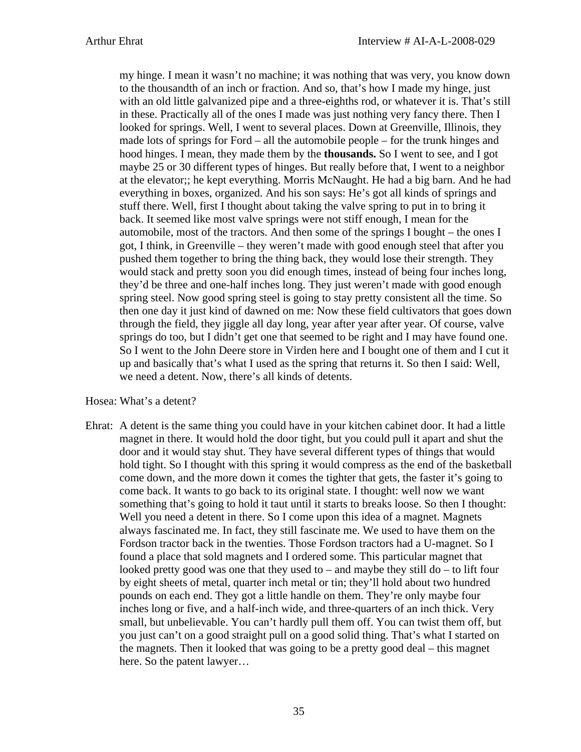my hinge. I mean it wasn't no machine; it was nothing that was very, you know down to the thousandth of an inch or fraction. And so, that's how I made my hinge, just with an old little galvanized pipe and a three-eighths rod, or whatever it is. That's still in these. Practically all of the ones I made was just nothing very fancy there. Then I looked for springs. Well, I went to several places. Down at Greenville, Illinois, they made lots of springs for Ford – all the automobile people – for the trunk hinges and hood hinges. I mean, they made them by the **thousands.** So I went to see, and I got maybe 25 or 30 different types of hinges. But really before that, I went to a neighbor at the elevator;; he kept everything. Morris McNaught. He had a big barn. And he had everything in boxes, organized. And his son says: He's got all kinds of springs and stuff there. Well, first I thought about taking the valve spring to put in to bring it back. It seemed like most valve springs were not stiff enough, I mean for the automobile, most of the tractors. And then some of the springs I bought – the ones I got, I think, in Greenville – they weren't made with good enough steel that after you pushed them together to bring the thing back, they would lose their strength. They would stack and pretty soon you did enough times, instead of being four inches long, they'd be three and one-half inches long. They just weren't made with good enough spring steel. Now good spring steel is going to stay pretty consistent all the time. So then one day it just kind of dawned on me: Now these field cultivators that goes down through the field, they jiggle all day long, year after year after year. Of course, valve springs do too, but I didn't get one that seemed to be right and I may have found one. So I went to the John Deere store in Virden here and I bought one of them and I cut it up and basically that's what I used as the spring that returns it. So then I said: Well, we need a detent. Now, there's all kinds of detents.

### Hosea: What's a detent?

Ehrat: A detent is the same thing you could have in your kitchen cabinet door. It had a little magnet in there. It would hold the door tight, but you could pull it apart and shut the door and it would stay shut. They have several different types of things that would hold tight. So I thought with this spring it would compress as the end of the basketball come down, and the more down it comes the tighter that gets, the faster it's going to come back. It wants to go back to its original state. I thought: well now we want something that's going to hold it taut until it starts to breaks loose. So then I thought: Well you need a detent in there. So I come upon this idea of a magnet. Magnets always fascinated me. In fact, they still fascinate me. We used to have them on the Fordson tractor back in the twenties. Those Fordson tractors had a U-magnet. So I found a place that sold magnets and I ordered some. This particular magnet that looked pretty good was one that they used to – and maybe they still  $d\sigma$  – to lift four by eight sheets of metal, quarter inch metal or tin; they'll hold about two hundred pounds on each end. They got a little handle on them. They're only maybe four inches long or five, and a half-inch wide, and three-quarters of an inch thick. Very small, but unbelievable. You can't hardly pull them off. You can twist them off, but you just can't on a good straight pull on a good solid thing. That's what I started on the magnets. Then it looked that was going to be a pretty good deal – this magnet here. So the patent lawyer…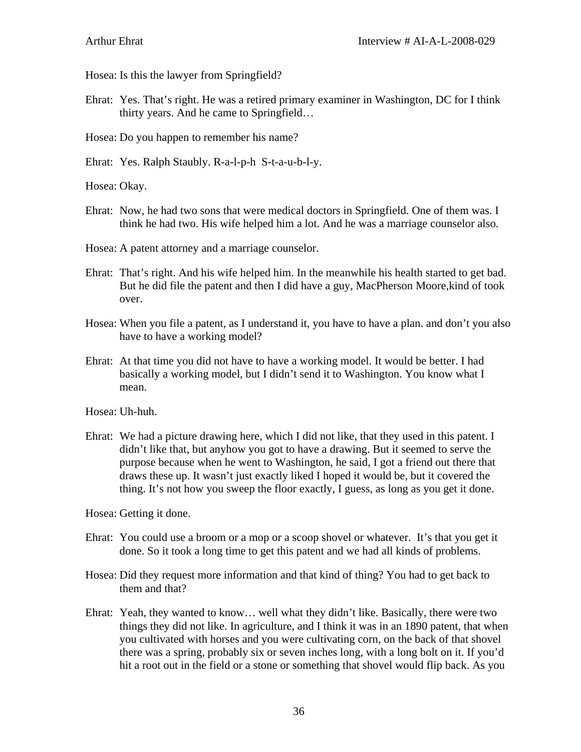Hosea: Is this the lawyer from Springfield?

- Ehrat: Yes. That's right. He was a retired primary examiner in Washington, DC for I think thirty years. And he came to Springfield…
- Hosea: Do you happen to remember his name?
- Ehrat: Yes. Ralph Staubly. R-a-l-p-h S-t-a-u-b-l-y.

Hosea: Okay.

- Ehrat: Now, he had two sons that were medical doctors in Springfield. One of them was. I think he had two. His wife helped him a lot. And he was a marriage counselor also.
- Hosea: A patent attorney and a marriage counselor.
- Ehrat: That's right. And his wife helped him. In the meanwhile his health started to get bad. But he did file the patent and then I did have a guy, MacPherson Moore,kind of took over.
- Hosea: When you file a patent, as I understand it, you have to have a plan. and don't you also have to have a working model?
- Ehrat: At that time you did not have to have a working model. It would be better. I had basically a working model, but I didn't send it to Washington. You know what I mean.

Hosea: Uh-huh.

Ehrat: We had a picture drawing here, which I did not like, that they used in this patent. I didn't like that, but anyhow you got to have a drawing. But it seemed to serve the purpose because when he went to Washington, he said, I got a friend out there that draws these up. It wasn't just exactly liked I hoped it would be, but it covered the thing. It's not how you sweep the floor exactly, I guess, as long as you get it done.

Hosea: Getting it done.

- Ehrat: You could use a broom or a mop or a scoop shovel or whatever. It's that you get it done. So it took a long time to get this patent and we had all kinds of problems.
- Hosea: Did they request more information and that kind of thing? You had to get back to them and that?
- Ehrat: Yeah, they wanted to know… well what they didn't like. Basically, there were two things they did not like. In agriculture, and I think it was in an 1890 patent, that when you cultivated with horses and you were cultivating corn, on the back of that shovel there was a spring, probably six or seven inches long, with a long bolt on it. If you'd hit a root out in the field or a stone or something that shovel would flip back. As you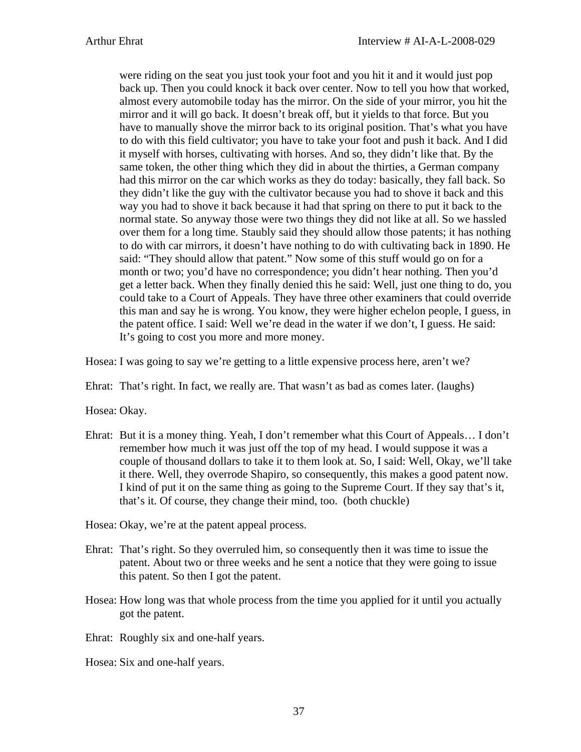were riding on the seat you just took your foot and you hit it and it would just pop back up. Then you could knock it back over center. Now to tell you how that worked, almost every automobile today has the mirror. On the side of your mirror, you hit the mirror and it will go back. It doesn't break off, but it yields to that force. But you have to manually shove the mirror back to its original position. That's what you have to do with this field cultivator; you have to take your foot and push it back. And I did it myself with horses, cultivating with horses. And so, they didn't like that. By the same token, the other thing which they did in about the thirties, a German company had this mirror on the car which works as they do today: basically, they fall back. So they didn't like the guy with the cultivator because you had to shove it back and this way you had to shove it back because it had that spring on there to put it back to the normal state. So anyway those were two things they did not like at all. So we hassled over them for a long time. Staubly said they should allow those patents; it has nothing to do with car mirrors, it doesn't have nothing to do with cultivating back in 1890. He said: "They should allow that patent." Now some of this stuff would go on for a month or two; you'd have no correspondence; you didn't hear nothing. Then you'd get a letter back. When they finally denied this he said: Well, just one thing to do, you could take to a Court of Appeals. They have three other examiners that could override this man and say he is wrong. You know, they were higher echelon people, I guess, in the patent office. I said: Well we're dead in the water if we don't, I guess. He said: It's going to cost you more and more money.

Hosea: I was going to say we're getting to a little expensive process here, aren't we?

Ehrat: That's right. In fact, we really are. That wasn't as bad as comes later. (laughs)

Hosea: Okay.

- Ehrat: But it is a money thing. Yeah, I don't remember what this Court of Appeals… I don't remember how much it was just off the top of my head. I would suppose it was a couple of thousand dollars to take it to them look at. So, I said: Well, Okay, we'll take it there. Well, they overrode Shapiro, so consequently, this makes a good patent now. I kind of put it on the same thing as going to the Supreme Court. If they say that's it, that's it. Of course, they change their mind, too. (both chuckle)
- Hosea: Okay, we're at the patent appeal process.
- Ehrat: That's right. So they overruled him, so consequently then it was time to issue the patent. About two or three weeks and he sent a notice that they were going to issue this patent. So then I got the patent.
- Hosea: How long was that whole process from the time you applied for it until you actually got the patent.

Ehrat: Roughly six and one-half years.

Hosea: Six and one-half years.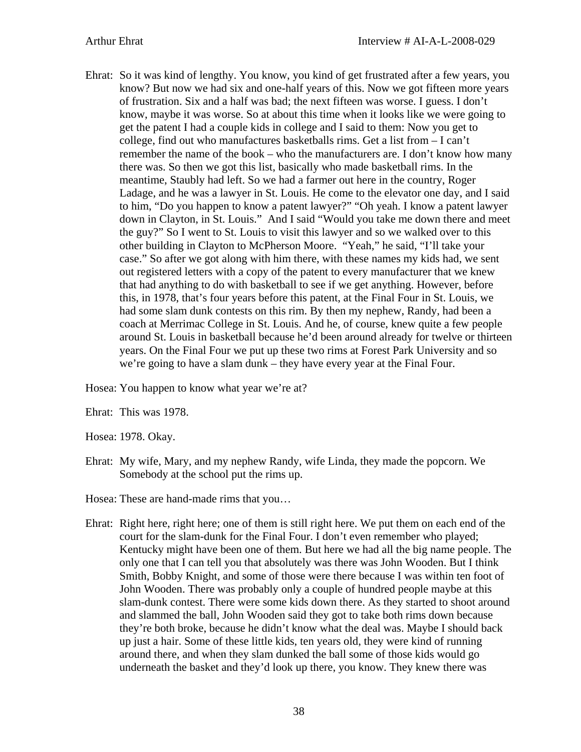Ehrat: So it was kind of lengthy. You know, you kind of get frustrated after a few years, you know? But now we had six and one-half years of this. Now we got fifteen more years of frustration. Six and a half was bad; the next fifteen was worse. I guess. I don't know, maybe it was worse. So at about this time when it looks like we were going to get the patent I had a couple kids in college and I said to them: Now you get to college, find out who manufactures basketballs rims. Get a list from – I can't remember the name of the book – who the manufacturers are. I don't know how many there was. So then we got this list, basically who made basketball rims. In the meantime, Staubly had left. So we had a farmer out here in the country, Roger Ladage, and he was a lawyer in St. Louis. He come to the elevator one day, and I said to him, "Do you happen to know a patent lawyer?" "Oh yeah. I know a patent lawyer down in Clayton, in St. Louis." And I said "Would you take me down there and meet the guy?" So I went to St. Louis to visit this lawyer and so we walked over to this other building in Clayton to McPherson Moore. "Yeah," he said, "I'll take your case." So after we got along with him there, with these names my kids had, we sent out registered letters with a copy of the patent to every manufacturer that we knew that had anything to do with basketball to see if we get anything. However, before this, in 1978, that's four years before this patent, at the Final Four in St. Louis, we had some slam dunk contests on this rim. By then my nephew, Randy, had been a coach at Merrimac College in St. Louis. And he, of course, knew quite a few people around St. Louis in basketball because he'd been around already for twelve or thirteen years. On the Final Four we put up these two rims at Forest Park University and so we're going to have a slam dunk – they have every year at the Final Four.

Hosea: You happen to know what year we're at?

Ehrat: This was 1978.

Hosea: 1978. Okay.

Ehrat: My wife, Mary, and my nephew Randy, wife Linda, they made the popcorn. We Somebody at the school put the rims up.

Hosea: These are hand-made rims that you…

Ehrat: Right here, right here; one of them is still right here. We put them on each end of the court for the slam-dunk for the Final Four. I don't even remember who played; Kentucky might have been one of them. But here we had all the big name people. The only one that I can tell you that absolutely was there was John Wooden. But I think Smith, Bobby Knight, and some of those were there because I was within ten foot of John Wooden. There was probably only a couple of hundred people maybe at this slam-dunk contest. There were some kids down there. As they started to shoot around and slammed the ball, John Wooden said they got to take both rims down because they're both broke, because he didn't know what the deal was. Maybe I should back up just a hair. Some of these little kids, ten years old, they were kind of running around there, and when they slam dunked the ball some of those kids would go underneath the basket and they'd look up there, you know. They knew there was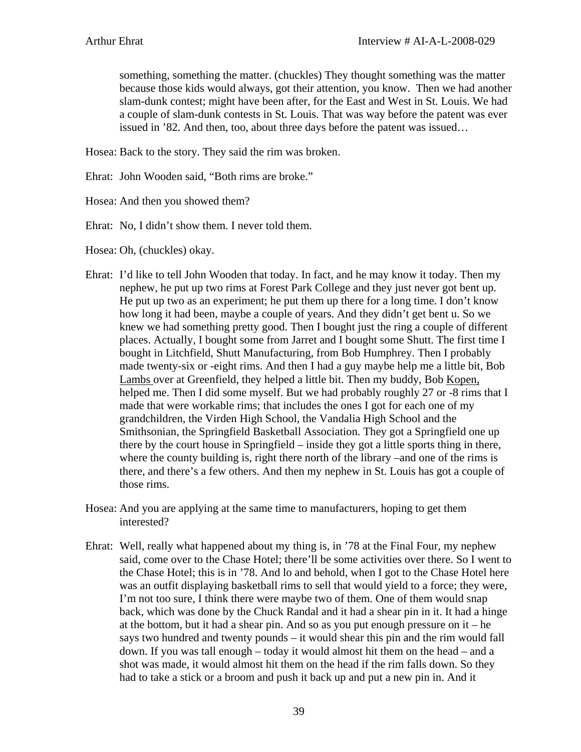something, something the matter. (chuckles) They thought something was the matter because those kids would always, got their attention, you know. Then we had another slam-dunk contest; might have been after, for the East and West in St. Louis. We had a couple of slam-dunk contests in St. Louis. That was way before the patent was ever issued in '82. And then, too, about three days before the patent was issued…

Hosea: Back to the story. They said the rim was broken.

Ehrat: John Wooden said, "Both rims are broke."

Hosea: And then you showed them?

Ehrat: No, I didn't show them. I never told them.

Hosea: Oh, (chuckles) okay.

- Ehrat: I'd like to tell John Wooden that today. In fact, and he may know it today. Then my nephew, he put up two rims at Forest Park College and they just never got bent up. He put up two as an experiment; he put them up there for a long time. I don't know how long it had been, maybe a couple of years. And they didn't get bent u. So we knew we had something pretty good. Then I bought just the ring a couple of different places. Actually, I bought some from Jarret and I bought some Shutt. The first time I bought in Litchfield, Shutt Manufacturing, from Bob Humphrey. Then I probably made twenty-six or -eight rims. And then I had a guy maybe help me a little bit, Bob Lambs over at Greenfield, they helped a little bit. Then my buddy, Bob Kopen, helped me. Then I did some myself. But we had probably roughly 27 or -8 rims that I made that were workable rims; that includes the ones I got for each one of my grandchildren, the Virden High School, the Vandalia High School and the Smithsonian, the Springfield Basketball Association. They got a Springfield one up there by the court house in Springfield – inside they got a little sports thing in there, where the county building is, right there north of the library –and one of the rims is there, and there's a few others. And then my nephew in St. Louis has got a couple of those rims.
- Hosea: And you are applying at the same time to manufacturers, hoping to get them interested?
- Ehrat: Well, really what happened about my thing is, in '78 at the Final Four, my nephew said, come over to the Chase Hotel; there'll be some activities over there. So I went to the Chase Hotel; this is in '78. And lo and behold, when I got to the Chase Hotel here was an outfit displaying basketball rims to sell that would yield to a force; they were, I'm not too sure, I think there were maybe two of them. One of them would snap back, which was done by the Chuck Randal and it had a shear pin in it. It had a hinge at the bottom, but it had a shear pin. And so as you put enough pressure on it – he says two hundred and twenty pounds – it would shear this pin and the rim would fall down. If you was tall enough – today it would almost hit them on the head – and a shot was made, it would almost hit them on the head if the rim falls down. So they had to take a stick or a broom and push it back up and put a new pin in. And it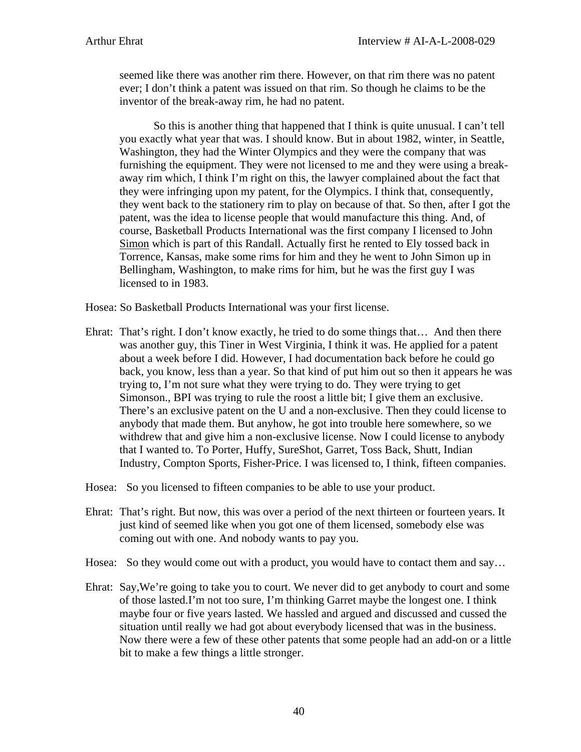seemed like there was another rim there. However, on that rim there was no patent ever; I don't think a patent was issued on that rim. So though he claims to be the inventor of the break-away rim, he had no patent.

So this is another thing that happened that I think is quite unusual. I can't tell you exactly what year that was. I should know. But in about 1982, winter, in Seattle, Washington, they had the Winter Olympics and they were the company that was furnishing the equipment. They were not licensed to me and they were using a breakaway rim which, I think I'm right on this, the lawyer complained about the fact that they were infringing upon my patent, for the Olympics. I think that, consequently, they went back to the stationery rim to play on because of that. So then, after I got the patent, was the idea to license people that would manufacture this thing. And, of course, Basketball Products International was the first company I licensed to John Simon which is part of this Randall. Actually first he rented to Ely tossed back in Torrence, Kansas, make some rims for him and they he went to John Simon up in Bellingham, Washington, to make rims for him, but he was the first guy I was licensed to in 1983.

Hosea: So Basketball Products International was your first license.

Ehrat: That's right. I don't know exactly, he tried to do some things that… And then there was another guy, this Tiner in West Virginia, I think it was. He applied for a patent about a week before I did. However, I had documentation back before he could go back, you know, less than a year. So that kind of put him out so then it appears he was trying to, I'm not sure what they were trying to do. They were trying to get Simonson., BPI was trying to rule the roost a little bit; I give them an exclusive. There's an exclusive patent on the U and a non-exclusive. Then they could license to anybody that made them. But anyhow, he got into trouble here somewhere, so we withdrew that and give him a non-exclusive license. Now I could license to anybody that I wanted to. To Porter, Huffy, SureShot, Garret, Toss Back, Shutt, Indian Industry, Compton Sports, Fisher-Price. I was licensed to, I think, fifteen companies.

Hosea: So you licensed to fifteen companies to be able to use your product.

- Ehrat: That's right. But now, this was over a period of the next thirteen or fourteen years. It just kind of seemed like when you got one of them licensed, somebody else was coming out with one. And nobody wants to pay you.
- Hosea: So they would come out with a product, you would have to contact them and say...
- Ehrat: Say,We're going to take you to court. We never did to get anybody to court and some of those lasted.I'm not too sure, I'm thinking Garret maybe the longest one. I think maybe four or five years lasted. We hassled and argued and discussed and cussed the situation until really we had got about everybody licensed that was in the business. Now there were a few of these other patents that some people had an add-on or a little bit to make a few things a little stronger.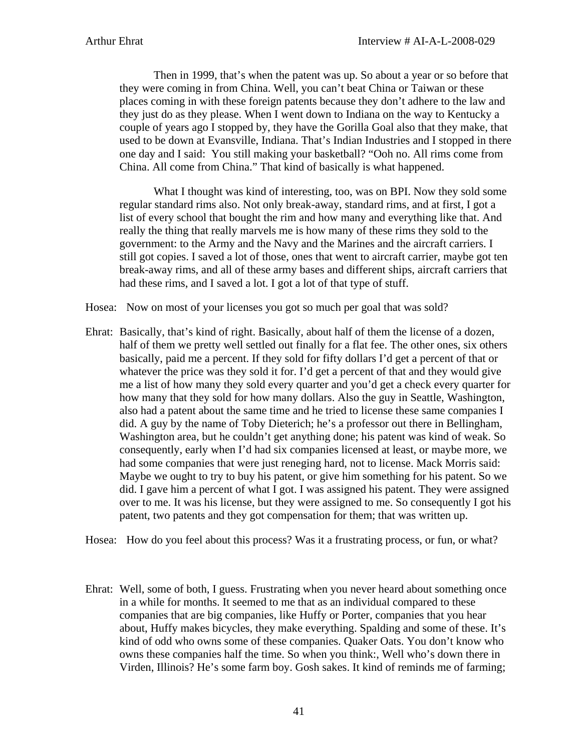Then in 1999, that's when the patent was up. So about a year or so before that they were coming in from China. Well, you can't beat China or Taiwan or these places coming in with these foreign patents because they don't adhere to the law and they just do as they please. When I went down to Indiana on the way to Kentucky a couple of years ago I stopped by, they have the Gorilla Goal also that they make, that used to be down at Evansville, Indiana. That's Indian Industries and I stopped in there one day and I said: You still making your basketball? "Ooh no. All rims come from China. All come from China." That kind of basically is what happened.

What I thought was kind of interesting, too, was on BPI. Now they sold some regular standard rims also. Not only break-away, standard rims, and at first, I got a list of every school that bought the rim and how many and everything like that. And really the thing that really marvels me is how many of these rims they sold to the government: to the Army and the Navy and the Marines and the aircraft carriers. I still got copies. I saved a lot of those, ones that went to aircraft carrier, maybe got ten break-away rims, and all of these army bases and different ships, aircraft carriers that had these rims, and I saved a lot. I got a lot of that type of stuff.

Hosea: Now on most of your licenses you got so much per goal that was sold?

Ehrat: Basically, that's kind of right. Basically, about half of them the license of a dozen, half of them we pretty well settled out finally for a flat fee. The other ones, six others basically, paid me a percent. If they sold for fifty dollars I'd get a percent of that or whatever the price was they sold it for. I'd get a percent of that and they would give me a list of how many they sold every quarter and you'd get a check every quarter for how many that they sold for how many dollars. Also the guy in Seattle, Washington, also had a patent about the same time and he tried to license these same companies I did. A guy by the name of Toby Dieterich; he's a professor out there in Bellingham, Washington area, but he couldn't get anything done; his patent was kind of weak. So consequently, early when I'd had six companies licensed at least, or maybe more, we had some companies that were just reneging hard, not to license. Mack Morris said: Maybe we ought to try to buy his patent, or give him something for his patent. So we did. I gave him a percent of what I got. I was assigned his patent. They were assigned over to me. It was his license, but they were assigned to me. So consequently I got his patent, two patents and they got compensation for them; that was written up.

Hosea: How do you feel about this process? Was it a frustrating process, or fun, or what?

Ehrat: Well, some of both, I guess. Frustrating when you never heard about something once in a while for months. It seemed to me that as an individual compared to these companies that are big companies, like Huffy or Porter, companies that you hear about, Huffy makes bicycles, they make everything. Spalding and some of these. It's kind of odd who owns some of these companies. Quaker Oats. You don't know who owns these companies half the time. So when you think:, Well who's down there in Virden, Illinois? He's some farm boy. Gosh sakes. It kind of reminds me of farming;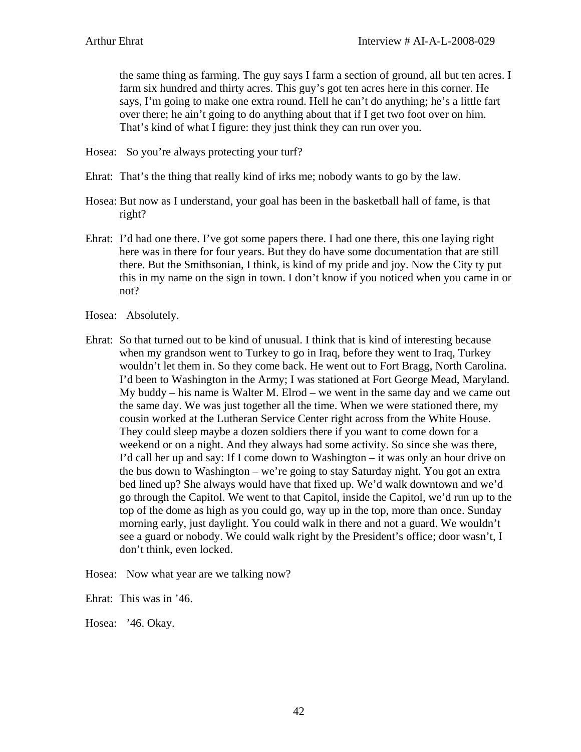the same thing as farming. The guy says I farm a section of ground, all but ten acres. I farm six hundred and thirty acres. This guy's got ten acres here in this corner. He says, I'm going to make one extra round. Hell he can't do anything; he's a little fart over there; he ain't going to do anything about that if I get two foot over on him. That's kind of what I figure: they just think they can run over you.

Hosea: So you're always protecting your turf?

- Ehrat: That's the thing that really kind of irks me; nobody wants to go by the law.
- Hosea: But now as I understand, your goal has been in the basketball hall of fame, is that right?
- Ehrat: I'd had one there. I've got some papers there. I had one there, this one laying right here was in there for four years. But they do have some documentation that are still there. But the Smithsonian, I think, is kind of my pride and joy. Now the City ty put this in my name on the sign in town. I don't know if you noticed when you came in or not?
- Hosea: Absolutely.
- Ehrat: So that turned out to be kind of unusual. I think that is kind of interesting because when my grandson went to Turkey to go in Iraq, before they went to Iraq, Turkey wouldn't let them in. So they come back. He went out to Fort Bragg, North Carolina. I'd been to Washington in the Army; I was stationed at Fort George Mead, Maryland. My buddy – his name is Walter M. Elrod – we went in the same day and we came out the same day. We was just together all the time. When we were stationed there, my cousin worked at the Lutheran Service Center right across from the White House. They could sleep maybe a dozen soldiers there if you want to come down for a weekend or on a night. And they always had some activity. So since she was there, I'd call her up and say: If I come down to Washington – it was only an hour drive on the bus down to Washington – we're going to stay Saturday night. You got an extra bed lined up? She always would have that fixed up. We'd walk downtown and we'd go through the Capitol. We went to that Capitol, inside the Capitol, we'd run up to the top of the dome as high as you could go, way up in the top, more than once. Sunday morning early, just daylight. You could walk in there and not a guard. We wouldn't see a guard or nobody. We could walk right by the President's office; door wasn't, I don't think, even locked.

Hosea: Now what year are we talking now?

Ehrat: This was in '46.

Hosea: '46. Okay.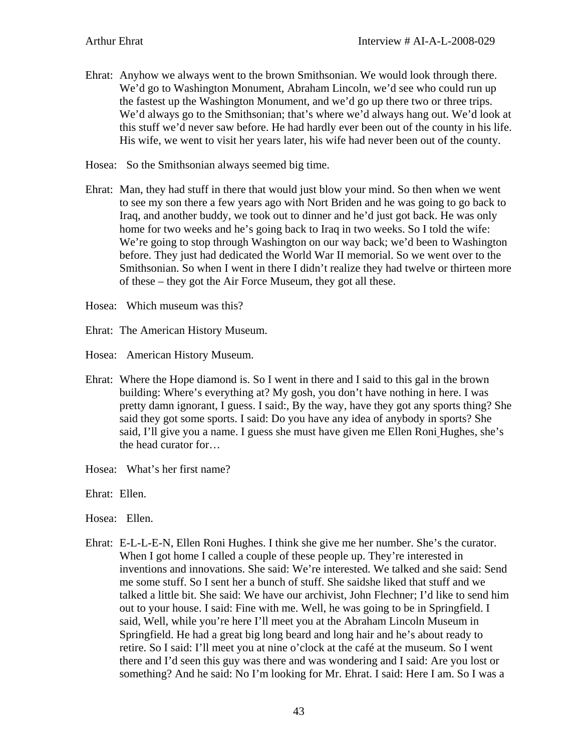- Ehrat: Anyhow we always went to the brown Smithsonian. We would look through there. We'd go to Washington Monument, Abraham Lincoln, we'd see who could run up the fastest up the Washington Monument, and we'd go up there two or three trips. We'd always go to the Smithsonian; that's where we'd always hang out. We'd look at this stuff we'd never saw before. He had hardly ever been out of the county in his life. His wife, we went to visit her years later, his wife had never been out of the county.
- Hosea: So the Smithsonian always seemed big time.
- Ehrat: Man, they had stuff in there that would just blow your mind. So then when we went to see my son there a few years ago with Nort Briden and he was going to go back to Iraq, and another buddy, we took out to dinner and he'd just got back. He was only home for two weeks and he's going back to Iraq in two weeks. So I told the wife: We're going to stop through Washington on our way back; we'd been to Washington before. They just had dedicated the World War II memorial. So we went over to the Smithsonian. So when I went in there I didn't realize they had twelve or thirteen more of these – they got the Air Force Museum, they got all these.
- Hosea: Which museum was this?
- Ehrat: The American History Museum.

Hosea: American History Museum.

- Ehrat: Where the Hope diamond is. So I went in there and I said to this gal in the brown building: Where's everything at? My gosh, you don't have nothing in here. I was pretty damn ignorant, I guess. I said:, By the way, have they got any sports thing? She said they got some sports. I said: Do you have any idea of anybody in sports? She said, I'll give you a name. I guess she must have given me Ellen Roni Hughes, she's the head curator for…
- Hosea: What's her first name?
- Ehrat: Ellen.
- Hosea: Ellen.
- Ehrat: E-L-L-E-N, Ellen Roni Hughes. I think she give me her number. She's the curator. When I got home I called a couple of these people up. They're interested in inventions and innovations. She said: We're interested. We talked and she said: Send me some stuff. So I sent her a bunch of stuff. She saidshe liked that stuff and we talked a little bit. She said: We have our archivist, John Flechner; I'd like to send him out to your house. I said: Fine with me. Well, he was going to be in Springfield. I said, Well, while you're here I'll meet you at the Abraham Lincoln Museum in Springfield. He had a great big long beard and long hair and he's about ready to retire. So I said: I'll meet you at nine o'clock at the café at the museum. So I went there and I'd seen this guy was there and was wondering and I said: Are you lost or something? And he said: No I'm looking for Mr. Ehrat. I said: Here I am. So I was a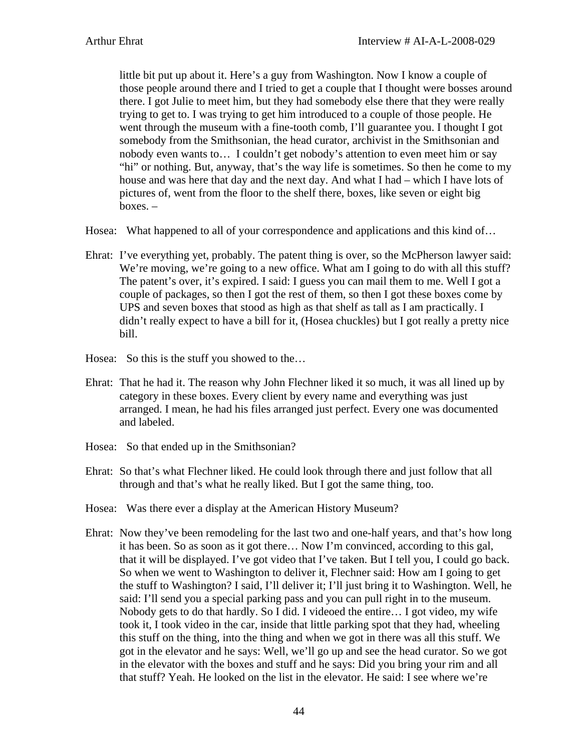little bit put up about it. Here's a guy from Washington. Now I know a couple of those people around there and I tried to get a couple that I thought were bosses around there. I got Julie to meet him, but they had somebody else there that they were really trying to get to. I was trying to get him introduced to a couple of those people. He went through the museum with a fine-tooth comb, I'll guarantee you. I thought I got somebody from the Smithsonian, the head curator, archivist in the Smithsonian and nobody even wants to… I couldn't get nobody's attention to even meet him or say "hi" or nothing. But, anyway, that's the way life is sometimes. So then he come to my house and was here that day and the next day. And what I had – which I have lots of pictures of, went from the floor to the shelf there, boxes, like seven or eight big  $boxes. -$ 

Hosea: What happened to all of your correspondence and applications and this kind of…

- Ehrat: I've everything yet, probably. The patent thing is over, so the McPherson lawyer said: We're moving, we're going to a new office. What am I going to do with all this stuff? The patent's over, it's expired. I said: I guess you can mail them to me. Well I got a couple of packages, so then I got the rest of them, so then I got these boxes come by UPS and seven boxes that stood as high as that shelf as tall as I am practically. I didn't really expect to have a bill for it, (Hosea chuckles) but I got really a pretty nice bill.
- Hosea: So this is the stuff you showed to the…
- Ehrat: That he had it. The reason why John Flechner liked it so much, it was all lined up by category in these boxes. Every client by every name and everything was just arranged. I mean, he had his files arranged just perfect. Every one was documented and labeled.
- Hosea: So that ended up in the Smithsonian?
- Ehrat: So that's what Flechner liked. He could look through there and just follow that all through and that's what he really liked. But I got the same thing, too.
- Hosea: Was there ever a display at the American History Museum?
- Ehrat: Now they've been remodeling for the last two and one-half years, and that's how long it has been. So as soon as it got there… Now I'm convinced, according to this gal, that it will be displayed. I've got video that I've taken. But I tell you, I could go back. So when we went to Washington to deliver it, Flechner said: How am I going to get the stuff to Washington? I said, I'll deliver it; I'll just bring it to Washington. Well, he said: I'll send you a special parking pass and you can pull right in to the museum. Nobody gets to do that hardly. So I did. I videoed the entire… I got video, my wife took it, I took video in the car, inside that little parking spot that they had, wheeling this stuff on the thing, into the thing and when we got in there was all this stuff. We got in the elevator and he says: Well, we'll go up and see the head curator. So we got in the elevator with the boxes and stuff and he says: Did you bring your rim and all that stuff? Yeah. He looked on the list in the elevator. He said: I see where we're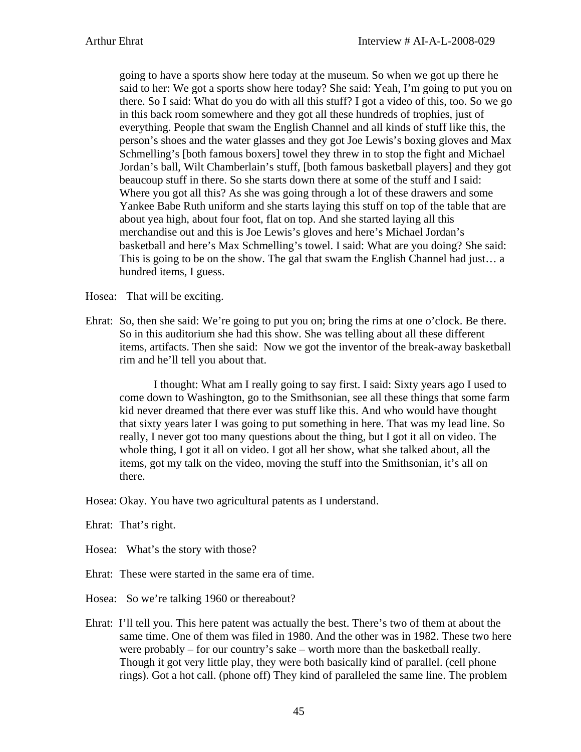going to have a sports show here today at the museum. So when we got up there he said to her: We got a sports show here today? She said: Yeah, I'm going to put you on there. So I said: What do you do with all this stuff? I got a video of this, too. So we go in this back room somewhere and they got all these hundreds of trophies, just of everything. People that swam the English Channel and all kinds of stuff like this, the person's shoes and the water glasses and they got Joe Lewis's boxing gloves and Max Schmelling's [both famous boxers] towel they threw in to stop the fight and Michael Jordan's ball, Wilt Chamberlain's stuff, [both famous basketball players] and they got beaucoup stuff in there. So she starts down there at some of the stuff and I said: Where you got all this? As she was going through a lot of these drawers and some Yankee Babe Ruth uniform and she starts laying this stuff on top of the table that are about yea high, about four foot, flat on top. And she started laying all this merchandise out and this is Joe Lewis's gloves and here's Michael Jordan's basketball and here's Max Schmelling's towel. I said: What are you doing? She said: This is going to be on the show. The gal that swam the English Channel had just… a hundred items, I guess.

Hosea: That will be exciting.

Ehrat: So, then she said: We're going to put you on; bring the rims at one o'clock. Be there. So in this auditorium she had this show. She was telling about all these different items, artifacts. Then she said: Now we got the inventor of the break-away basketball rim and he'll tell you about that.

I thought: What am I really going to say first. I said: Sixty years ago I used to come down to Washington, go to the Smithsonian, see all these things that some farm kid never dreamed that there ever was stuff like this. And who would have thought that sixty years later I was going to put something in here. That was my lead line. So really, I never got too many questions about the thing, but I got it all on video. The whole thing, I got it all on video. I got all her show, what she talked about, all the items, got my talk on the video, moving the stuff into the Smithsonian, it's all on there.

Hosea: Okay. You have two agricultural patents as I understand.

Ehrat: That's right.

Hosea: What's the story with those?

Ehrat: These were started in the same era of time.

Hosea: So we're talking 1960 or thereabout?

Ehrat: I'll tell you. This here patent was actually the best. There's two of them at about the same time. One of them was filed in 1980. And the other was in 1982. These two here were probably – for our country's sake – worth more than the basketball really. Though it got very little play, they were both basically kind of parallel. (cell phone rings). Got a hot call. (phone off) They kind of paralleled the same line. The problem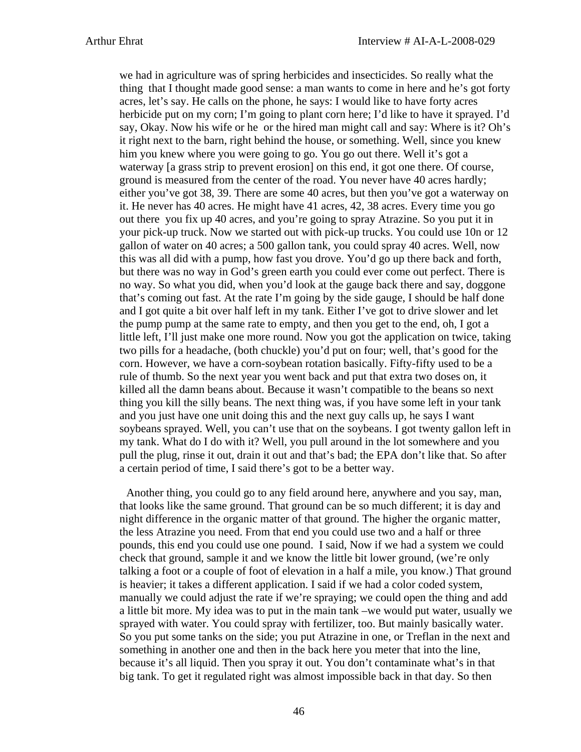we had in agriculture was of spring herbicides and insecticides. So really what the thing that I thought made good sense: a man wants to come in here and he's got forty acres, let's say. He calls on the phone, he says: I would like to have forty acres herbicide put on my corn; I'm going to plant corn here; I'd like to have it sprayed. I'd say, Okay. Now his wife or he or the hired man might call and say: Where is it? Oh's it right next to the barn, right behind the house, or something. Well, since you knew him you knew where you were going to go. You go out there. Well it's got a waterway [a grass strip to prevent erosion] on this end, it got one there. Of course, ground is measured from the center of the road. You never have 40 acres hardly; either you've got 38, 39. There are some 40 acres, but then you've got a waterway on it. He never has 40 acres. He might have 41 acres, 42, 38 acres. Every time you go out there you fix up 40 acres, and you're going to spray Atrazine. So you put it in your pick-up truck. Now we started out with pick-up trucks. You could use 10n or 12 gallon of water on 40 acres; a 500 gallon tank, you could spray 40 acres. Well, now this was all did with a pump, how fast you drove. You'd go up there back and forth, but there was no way in God's green earth you could ever come out perfect. There is no way. So what you did, when you'd look at the gauge back there and say, doggone that's coming out fast. At the rate I'm going by the side gauge, I should be half done and I got quite a bit over half left in my tank. Either I've got to drive slower and let the pump pump at the same rate to empty, and then you get to the end, oh, I got a little left, I'll just make one more round. Now you got the application on twice, taking two pills for a headache, (both chuckle) you'd put on four; well, that's good for the corn. However, we have a corn-soybean rotation basically. Fifty-fifty used to be a rule of thumb. So the next year you went back and put that extra two doses on, it killed all the damn beans about. Because it wasn't compatible to the beans so next thing you kill the silly beans. The next thing was, if you have some left in your tank and you just have one unit doing this and the next guy calls up, he says I want soybeans sprayed. Well, you can't use that on the soybeans. I got twenty gallon left in my tank. What do I do with it? Well, you pull around in the lot somewhere and you pull the plug, rinse it out, drain it out and that's bad; the EPA don't like that. So after a certain period of time, I said there's got to be a better way.

Another thing, you could go to any field around here, anywhere and you say, man, that looks like the same ground. That ground can be so much different; it is day and night difference in the organic matter of that ground. The higher the organic matter, the less Atrazine you need. From that end you could use two and a half or three pounds, this end you could use one pound. I said, Now if we had a system we could check that ground, sample it and we know the little bit lower ground, (we're only talking a foot or a couple of foot of elevation in a half a mile, you know.) That ground is heavier; it takes a different application. I said if we had a color coded system, manually we could adjust the rate if we're spraying; we could open the thing and add a little bit more. My idea was to put in the main tank –we would put water, usually we sprayed with water. You could spray with fertilizer, too. But mainly basically water. So you put some tanks on the side; you put Atrazine in one, or Treflan in the next and something in another one and then in the back here you meter that into the line, because it's all liquid. Then you spray it out. You don't contaminate what's in that big tank. To get it regulated right was almost impossible back in that day. So then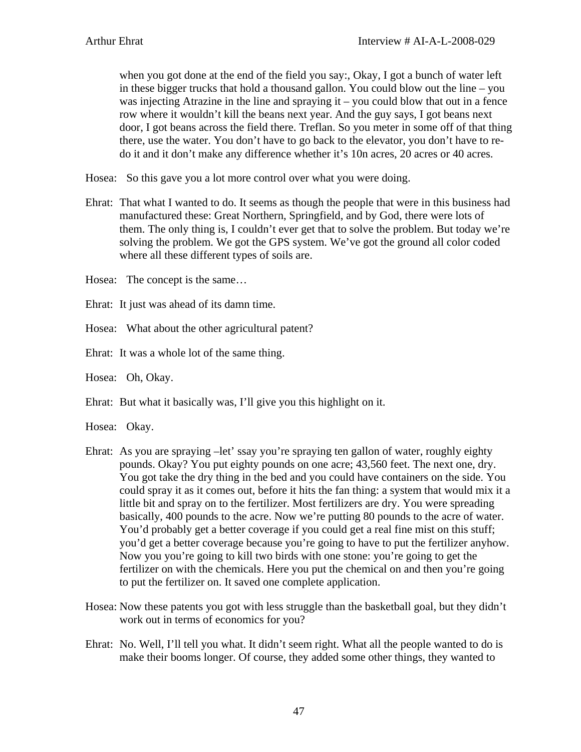when you got done at the end of the field you say:, Okay, I got a bunch of water left in these bigger trucks that hold a thousand gallon. You could blow out the line – you was injecting Atrazine in the line and spraying it – you could blow that out in a fence row where it wouldn't kill the beans next year. And the guy says, I got beans next door, I got beans across the field there. Treflan. So you meter in some off of that thing there, use the water. You don't have to go back to the elevator, you don't have to redo it and it don't make any difference whether it's 10n acres, 20 acres or 40 acres.

Hosea: So this gave you a lot more control over what you were doing.

- Ehrat: That what I wanted to do. It seems as though the people that were in this business had manufactured these: Great Northern, Springfield, and by God, there were lots of them. The only thing is, I couldn't ever get that to solve the problem. But today we're solving the problem. We got the GPS system. We've got the ground all color coded where all these different types of soils are.
- Hosea: The concept is the same…
- Ehrat: It just was ahead of its damn time.
- Hosea: What about the other agricultural patent?
- Ehrat: It was a whole lot of the same thing.
- Hosea: Oh, Okay.
- Ehrat: But what it basically was, I'll give you this highlight on it.
- Hosea: Okay.
- Ehrat: As you are spraying –let' ssay you're spraying ten gallon of water, roughly eighty pounds. Okay? You put eighty pounds on one acre; 43,560 feet. The next one, dry. You got take the dry thing in the bed and you could have containers on the side. You could spray it as it comes out, before it hits the fan thing: a system that would mix it a little bit and spray on to the fertilizer. Most fertilizers are dry. You were spreading basically, 400 pounds to the acre. Now we're putting 80 pounds to the acre of water. You'd probably get a better coverage if you could get a real fine mist on this stuff; you'd get a better coverage because you're going to have to put the fertilizer anyhow. Now you you're going to kill two birds with one stone: you're going to get the fertilizer on with the chemicals. Here you put the chemical on and then you're going to put the fertilizer on. It saved one complete application.
- Hosea: Now these patents you got with less struggle than the basketball goal, but they didn't work out in terms of economics for you?
- Ehrat: No. Well, I'll tell you what. It didn't seem right. What all the people wanted to do is make their booms longer. Of course, they added some other things, they wanted to